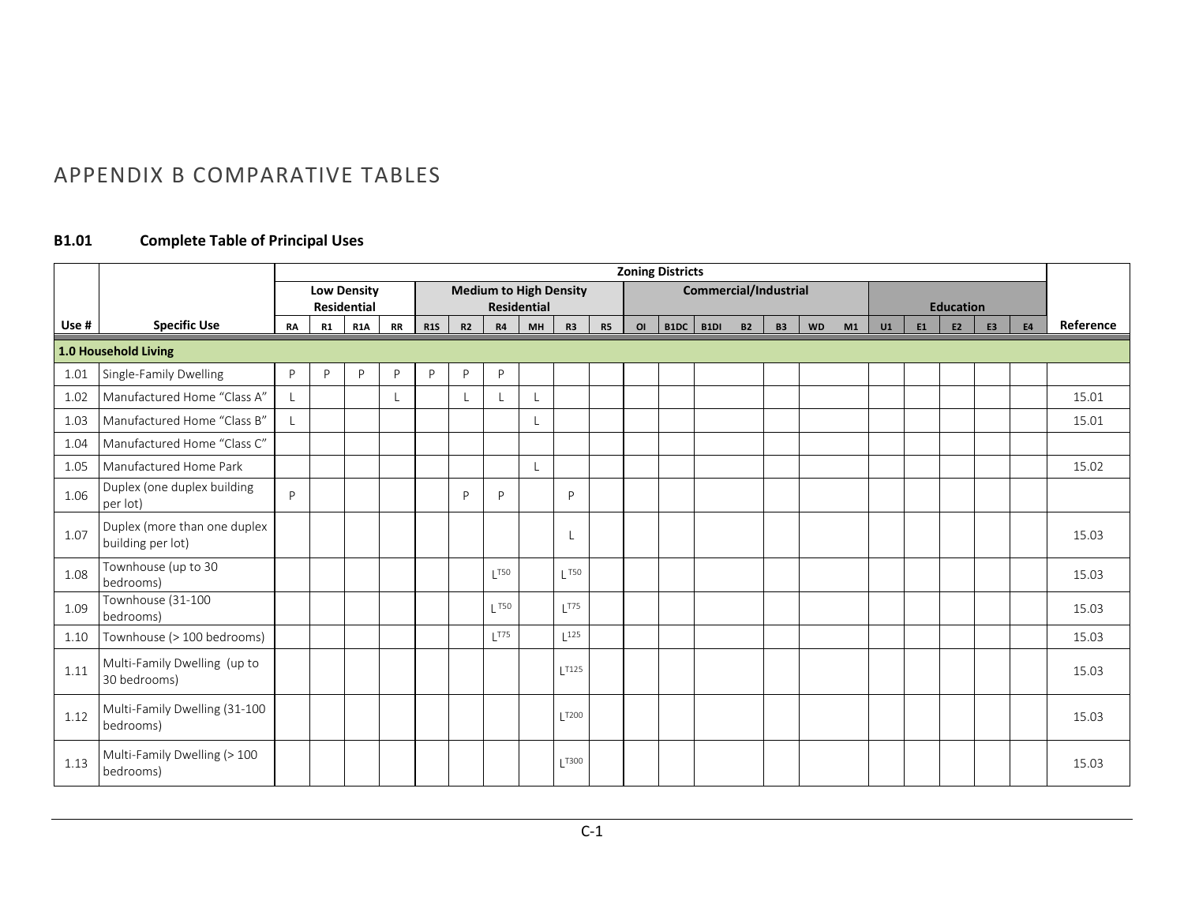## APPENDIX B COMPARATIVE TABLES

### **B1.01 Complete Table of Principal Uses**

|       |                                                   |           |                    |                    |           |            |    |                  |                               |                   |                |    | <b>Zoning Districts</b> |                       |           |           |    |    |    |                  |                |           |           |
|-------|---------------------------------------------------|-----------|--------------------|--------------------|-----------|------------|----|------------------|-------------------------------|-------------------|----------------|----|-------------------------|-----------------------|-----------|-----------|----|----|----|------------------|----------------|-----------|-----------|
|       |                                                   |           | <b>Low Density</b> |                    |           |            |    |                  | <b>Medium to High Density</b> |                   |                |    |                         | Commercial/Industrial |           |           |    |    |    |                  |                |           |           |
| Use # | <b>Specific Use</b>                               |           |                    | <b>Residential</b> |           |            | R2 |                  | <b>Residential</b>            |                   |                |    | $B1DC$ $B1DI$           | <b>B2</b>             |           |           |    |    | E1 | <b>Education</b> | E <sub>3</sub> |           | Reference |
|       |                                                   | <b>RA</b> | R1                 | <b>R1A</b>         | <b>RR</b> | <b>R1S</b> |    | <b>R4</b>        | MH                            | <b>R3</b>         | R <sub>5</sub> | OI |                         |                       | <b>B3</b> | <b>WD</b> | M1 | U1 |    | E2               |                | <b>E4</b> |           |
|       | 1.0 Household Living                              |           |                    |                    |           |            |    |                  |                               |                   |                |    |                         |                       |           |           |    |    |    |                  |                |           |           |
| 1.01  | Single-Family Dwelling                            | P         | D                  | P                  | P         | P          | P  | P                |                               |                   |                |    |                         |                       |           |           |    |    |    |                  |                |           |           |
| 1.02  | Manufactured Home "Class A"                       |           |                    |                    |           |            |    |                  |                               |                   |                |    |                         |                       |           |           |    |    |    |                  |                |           | 15.01     |
| 1.03  | Manufactured Home "Class B"                       |           |                    |                    |           |            |    |                  |                               |                   |                |    |                         |                       |           |           |    |    |    |                  |                |           | 15.01     |
| 1.04  | Manufactured Home "Class C"                       |           |                    |                    |           |            |    |                  |                               |                   |                |    |                         |                       |           |           |    |    |    |                  |                |           |           |
| 1.05  | Manufactured Home Park                            |           |                    |                    |           |            |    |                  |                               |                   |                |    |                         |                       |           |           |    |    |    |                  |                |           | 15.02     |
| 1.06  | Duplex (one duplex building<br>per lot)           | P         |                    |                    |           |            | P  | P                |                               | P                 |                |    |                         |                       |           |           |    |    |    |                  |                |           |           |
| 1.07  | Duplex (more than one duplex<br>building per lot) |           |                    |                    |           |            |    |                  |                               |                   |                |    |                         |                       |           |           |    |    |    |                  |                |           | 15.03     |
| 1.08  | Townhouse (up to 30<br>bedrooms)                  |           |                    |                    |           |            |    | 1T50             |                               | $\overline{150}$  |                |    |                         |                       |           |           |    |    |    |                  |                |           | 15.03     |
| 1.09  | Townhouse (31-100<br>bedrooms)                    |           |                    |                    |           |            |    | $\overline{150}$ |                               | 1T75              |                |    |                         |                       |           |           |    |    |    |                  |                |           | 15.03     |
| 1.10  | Townhouse (> 100 bedrooms)                        |           |                    |                    |           |            |    | 1T75             |                               | 125               |                |    |                         |                       |           |           |    |    |    |                  |                |           | 15.03     |
| 1.11  | Multi-Family Dwelling (up to<br>30 bedrooms)      |           |                    |                    |           |            |    |                  |                               | $\overline{1125}$ |                |    |                         |                       |           |           |    |    |    |                  |                |           | 15.03     |
| 1.12  | Multi-Family Dwelling (31-100<br>bedrooms)        |           |                    |                    |           |            |    |                  |                               | T200              |                |    |                         |                       |           |           |    |    |    |                  |                |           | 15.03     |
| 1.13  | Multi-Family Dwelling (> 100<br>bedrooms)         |           |                    |                    |           |            |    |                  |                               | T300              |                |    |                         |                       |           |           |    |    |    |                  |                |           | 15.03     |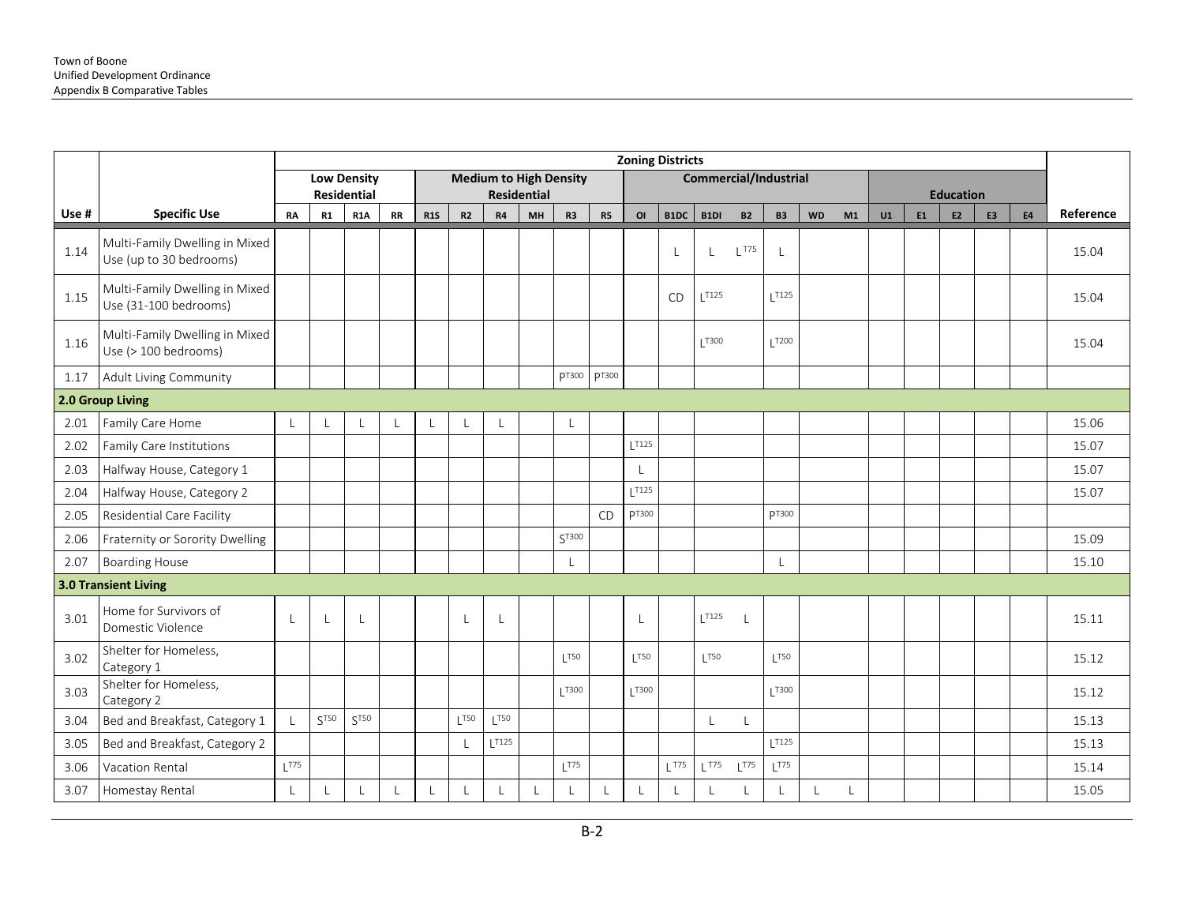|       |                                                           |              |                  |                                          |           |            |     |       |                    |                               |                |                | <b>Zoning Districts</b> |                              |           |                   |           |         |    |                |                  |                |           |           |
|-------|-----------------------------------------------------------|--------------|------------------|------------------------------------------|-----------|------------|-----|-------|--------------------|-------------------------------|----------------|----------------|-------------------------|------------------------------|-----------|-------------------|-----------|---------|----|----------------|------------------|----------------|-----------|-----------|
|       |                                                           |              |                  | <b>Low Density</b><br><b>Residential</b> |           |            |     |       | <b>Residential</b> | <b>Medium to High Density</b> |                |                |                         | <b>Commercial/Industrial</b> |           |                   |           |         |    |                | <b>Education</b> |                |           |           |
| Use # | <b>Specific Use</b>                                       | <b>RA</b>    | R1               | R <sub>1</sub> A                         | <b>RR</b> | <b>R1S</b> | R2  | R4    | MH                 | R <sub>3</sub>                | R <sub>5</sub> | O <sub>l</sub> | B1DC                    | B1DI                         | <b>B2</b> | <b>B3</b>         | <b>WD</b> | M1      | U1 | E <sub>1</sub> | E <sub>2</sub>   | E <sub>3</sub> | <b>E4</b> | Reference |
| 1.14  | Multi-Family Dwelling in Mixed<br>Use (up to 30 bedrooms) |              |                  |                                          |           |            |     |       |                    |                               |                |                | L                       | L                            | $L$ T75   | $\mathsf{L}$      |           |         |    |                |                  |                |           | 15.04     |
| 1.15  | Multi-Family Dwelling in Mixed<br>Use (31-100 bedrooms)   |              |                  |                                          |           |            |     |       |                    |                               |                |                | <b>CD</b>               | $L$ T125                     |           | 1T125             |           |         |    |                |                  |                |           | 15.04     |
| 1.16  | Multi-Family Dwelling in Mixed<br>Use (> 100 bedrooms)    |              |                  |                                          |           |            |     |       |                    |                               |                |                |                         | T300                         |           | $\overline{1200}$ |           |         |    |                |                  |                |           | 15.04     |
| 1.17  | Adult Living Community                                    |              |                  |                                          |           |            |     |       |                    | <b>PT300</b>                  | <b>PT300</b>   |                |                         |                              |           |                   |           |         |    |                |                  |                |           |           |
|       | 2.0 Group Living                                          |              |                  |                                          |           |            |     |       |                    |                               |                |                |                         |                              |           |                   |           |         |    |                |                  |                |           |           |
| 2.01  | Family Care Home                                          | $\mathbf{I}$ |                  |                                          |           |            |     |       |                    |                               |                |                |                         |                              |           |                   |           |         |    |                |                  |                |           | 15.06     |
| 2.02  | Family Care Institutions                                  |              |                  |                                          |           |            |     |       |                    |                               |                | 1T125          |                         |                              |           |                   |           |         |    |                |                  |                |           | 15.07     |
| 2.03  | Halfway House, Category 1                                 |              |                  |                                          |           |            |     |       |                    |                               |                |                |                         |                              |           |                   |           |         |    |                |                  |                |           | 15.07     |
| 2.04  | Halfway House, Category 2                                 |              |                  |                                          |           |            |     |       |                    |                               |                | T125           |                         |                              |           |                   |           |         |    |                |                  |                |           | 15.07     |
| 2.05  | Residential Care Facility                                 |              |                  |                                          |           |            |     |       |                    |                               | CD             | pT300          |                         |                              |           | <b>DT300</b>      |           |         |    |                |                  |                |           |           |
| 2.06  | Fraternity or Sorority Dwelling                           |              |                  |                                          |           |            |     |       |                    | ST300                         |                |                |                         |                              |           |                   |           |         |    |                |                  |                |           | 15.09     |
| 2.07  | <b>Boarding House</b>                                     |              |                  |                                          |           |            |     |       |                    | L                             |                |                |                         |                              |           | $\mathsf{L}$      |           |         |    |                |                  |                |           | 15.10     |
|       | <b>3.0 Transient Living</b>                               |              |                  |                                          |           |            |     |       |                    |                               |                |                |                         |                              |           |                   |           |         |    |                |                  |                |           |           |
| 3.01  | Home for Survivors of<br>Domestic Violence                |              | L                | $\mathsf{L}$                             |           |            |     |       |                    |                               |                |                |                         | $L^{T125}$                   |           |                   |           |         |    |                |                  |                |           | 15.11     |
| 3.02  | Shelter for Homeless,<br>Category 1                       |              |                  |                                          |           |            |     |       |                    | 1T50                          |                | 1T50           |                         | 1T50                         |           | 1T50              |           |         |    |                |                  |                |           | 15.12     |
| 3.03  | Shelter for Homeless,<br>Category 2                       |              |                  |                                          |           |            |     |       |                    | T300                          |                | T300           |                         |                              |           | T300              |           |         |    |                |                  |                |           | 15.12     |
| 3.04  | Bed and Breakfast, Category 1                             |              | ST <sub>50</sub> | ST50                                     |           |            | T50 | T50   |                    |                               |                |                |                         | $\mathsf{L}$                 | L         |                   |           |         |    |                |                  |                |           | 15.13     |
| 3.05  | Bed and Breakfast, Category 2                             |              |                  |                                          |           |            |     | 1T125 |                    |                               |                |                |                         |                              |           | 1T125             |           |         |    |                |                  |                |           | 15.13     |
| 3.06  | Vacation Rental                                           | $L^{T75}$    |                  |                                          |           |            |     |       |                    | 1775                          |                |                | $L$ <sup>T75</sup>      | $L$ T75                      | $L^{T75}$ | $L^{T75}$         |           |         |    |                |                  |                |           | 15.14     |
| 3.07  | Homestay Rental                                           |              |                  |                                          |           |            |     |       |                    |                               |                |                | $\mathsf{L}$            |                              |           | $\lfloor$         |           | $\perp$ |    |                |                  |                |           | 15.05     |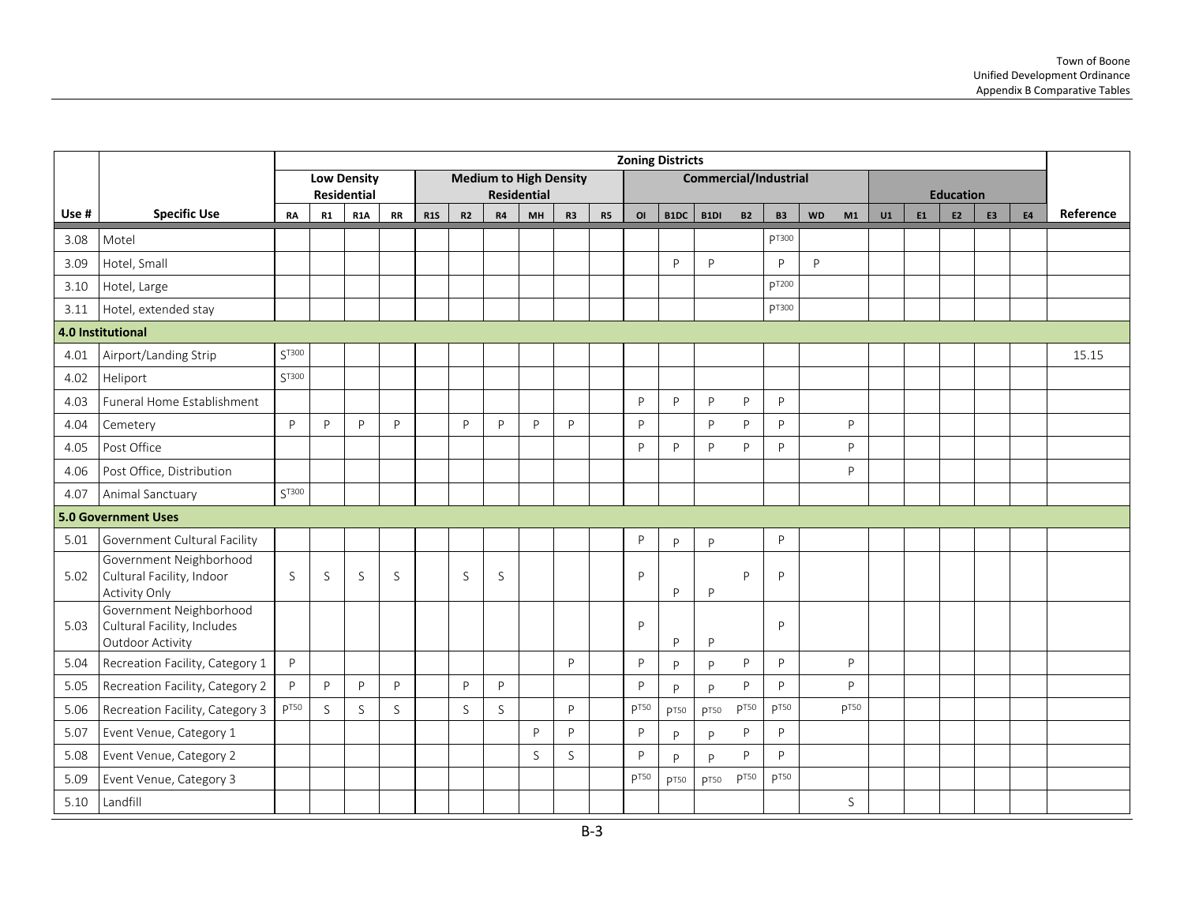|       |                                                                            |                  |    |                                  |    |            |    |    |                               |                |           |                  | <b>Zoning Districts</b> |                       |                  |                  |           |                  |    |    |                                    |    |           |           |
|-------|----------------------------------------------------------------------------|------------------|----|----------------------------------|----|------------|----|----|-------------------------------|----------------|-----------|------------------|-------------------------|-----------------------|------------------|------------------|-----------|------------------|----|----|------------------------------------|----|-----------|-----------|
|       |                                                                            |                  |    | <b>Low Density</b>               |    |            |    |    | <b>Medium to High Density</b> |                |           |                  |                         | Commercial/Industrial |                  |                  |           |                  |    |    |                                    |    |           |           |
| Use # | <b>Specific Use</b>                                                        | <b>RA</b>        | R1 | <b>Residential</b><br><b>R1A</b> | RR | <b>R1S</b> | R2 | R4 | <b>Residential</b><br>MH      | R <sub>3</sub> | <b>R5</b> | OI               | B1DC                    | B1DI                  | <b>B2</b>        | <b>B3</b>        | <b>WD</b> | M1               | U1 | E1 | <b>Education</b><br>E <sub>2</sub> | E3 | <b>E4</b> | Reference |
| 3.08  | Motel                                                                      |                  |    |                                  |    |            |    |    |                               |                |           |                  |                         |                       |                  | pT300            |           |                  |    |    |                                    |    |           |           |
| 3.09  | Hotel, Small                                                               |                  |    |                                  |    |            |    |    |                               |                |           |                  | P                       | $\mathsf{P}$          |                  | $\mathsf{P}$     | P         |                  |    |    |                                    |    |           |           |
| 3.10  | Hotel, Large                                                               |                  |    |                                  |    |            |    |    |                               |                |           |                  |                         |                       |                  | pT200            |           |                  |    |    |                                    |    |           |           |
| 3.11  | Hotel, extended stay                                                       |                  |    |                                  |    |            |    |    |                               |                |           |                  |                         |                       |                  | pT300            |           |                  |    |    |                                    |    |           |           |
|       | 4.0 Institutional                                                          |                  |    |                                  |    |            |    |    |                               |                |           |                  |                         |                       |                  |                  |           |                  |    |    |                                    |    |           |           |
| 4.01  | Airport/Landing Strip                                                      | ST300            |    |                                  |    |            |    |    |                               |                |           |                  |                         |                       |                  |                  |           |                  |    |    |                                    |    |           | 15.15     |
| 4.02  | Heliport                                                                   | $S^{T300}$       |    |                                  |    |            |    |    |                               |                |           |                  |                         |                       |                  |                  |           |                  |    |    |                                    |    |           |           |
| 4.03  | Funeral Home Establishment                                                 |                  |    |                                  |    |            |    |    |                               |                |           | P                | P                       | P                     | P                | P                |           |                  |    |    |                                    |    |           |           |
| 4.04  | Cemetery                                                                   | $\mathsf{P}$     | P  | P                                | P  |            | P  | P  | P                             | P              |           | P                |                         | P                     | P                | P                |           | P                |    |    |                                    |    |           |           |
| 4.05  | Post Office                                                                |                  |    |                                  |    |            |    |    |                               |                |           | P                | P                       | P                     | P                | P                |           | P                |    |    |                                    |    |           |           |
| 4.06  | Post Office, Distribution                                                  |                  |    |                                  |    |            |    |    |                               |                |           |                  |                         |                       |                  |                  |           | P                |    |    |                                    |    |           |           |
| 4.07  | Animal Sanctuary                                                           | $\zeta$ T300     |    |                                  |    |            |    |    |                               |                |           |                  |                         |                       |                  |                  |           |                  |    |    |                                    |    |           |           |
|       | <b>5.0 Government Uses</b>                                                 |                  |    |                                  |    |            |    |    |                               |                |           |                  |                         |                       |                  |                  |           |                  |    |    |                                    |    |           |           |
| 5.01  | Government Cultural Facility                                               |                  |    |                                  |    |            |    |    |                               |                |           | P                | P                       | P                     |                  | P                |           |                  |    |    |                                    |    |           |           |
| 5.02  | Government Neighborhood<br>Cultural Facility, Indoor<br>Activity Only      | <sub>S</sub>     | S  | S                                | S  |            | S  | S  |                               |                |           | P                | P                       | P                     | P                | P                |           |                  |    |    |                                    |    |           |           |
| 5.03  | Government Neighborhood<br>Cultural Facility, Includes<br>Outdoor Activity |                  |    |                                  |    |            |    |    |                               |                |           | P                | P                       | P                     |                  | P                |           |                  |    |    |                                    |    |           |           |
| 5.04  | Recreation Facility, Category 1                                            | P                |    |                                  |    |            |    |    |                               | P              |           | P                | P                       | P                     | P                | P                |           | P                |    |    |                                    |    |           |           |
| 5.05  | Recreation Facility, Category 2                                            | P                | P  | P                                | P  |            | P  | P  |                               |                |           | P                | P                       | P                     | P                | P                |           | P                |    |    |                                    |    |           |           |
| 5.06  | Recreation Facility, Category 3                                            | p <sub>T50</sub> | S  | S                                | S  |            | S  | S  |                               | P              |           | p <sub>T50</sub> | p <sub>T50</sub>        | <b>p</b> T50          | p <sub>T50</sub> | p <sub>T50</sub> |           | p <sub>T50</sub> |    |    |                                    |    |           |           |
| 5.07  | Event Venue, Category 1                                                    |                  |    |                                  |    |            |    |    | P                             | P              |           | P                | P                       | P                     | P                | P                |           |                  |    |    |                                    |    |           |           |
| 5.08  | Event Venue, Category 2                                                    |                  |    |                                  |    |            |    |    | S                             | S              |           | P                | P                       | P                     | P                | P                |           |                  |    |    |                                    |    |           |           |
| 5.09  | Event Venue, Category 3                                                    |                  |    |                                  |    |            |    |    |                               |                |           | p <sub>T50</sub> | <b>pT50</b>             | p <sub>T50</sub>      | p <sub>T50</sub> | p <sub>T50</sub> |           |                  |    |    |                                    |    |           |           |
| 5.10  | Landfill                                                                   |                  |    |                                  |    |            |    |    |                               |                |           |                  |                         |                       |                  |                  |           | S                |    |    |                                    |    |           |           |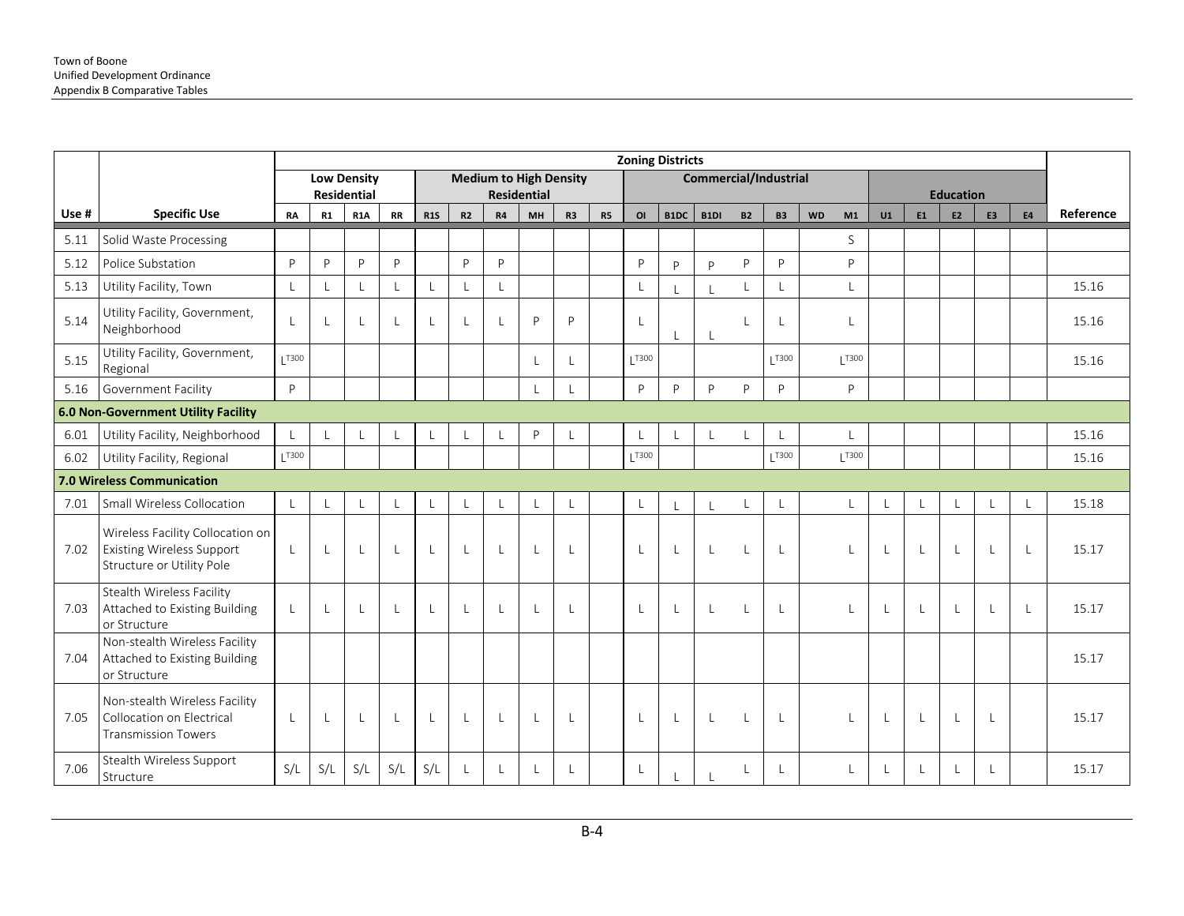|       |                                                                                                   |              |     |                                  |           |              |              |    |                               |              |           | <b>Zoning Districts</b> |              |                              |              |              |                 |    |              |                        |                |              |           |
|-------|---------------------------------------------------------------------------------------------------|--------------|-----|----------------------------------|-----------|--------------|--------------|----|-------------------------------|--------------|-----------|-------------------------|--------------|------------------------------|--------------|--------------|-----------------|----|--------------|------------------------|----------------|--------------|-----------|
|       |                                                                                                   |              |     | <b>Low Density</b>               |           |              |              |    | <b>Medium to High Density</b> |              |           |                         |              | <b>Commercial/Industrial</b> |              |              |                 |    |              |                        |                |              |           |
| Use # | <b>Specific Use</b>                                                                               | RA           | R1  | <b>Residential</b><br><b>R1A</b> | <b>RR</b> | <b>R1S</b>   | R2           | R4 | <b>Residential</b><br>MH      | R3           | <b>R5</b> | O <sub>l</sub>          | B1DC         | B1DI                         | <b>B2</b>    | <b>B3</b>    | <b>WD</b><br>M1 | U1 | E1           | <b>Education</b><br>E2 | E <sub>3</sub> | <b>E4</b>    | Reference |
| 5.11  | Solid Waste Processing                                                                            |              |     |                                  |           |              |              |    |                               |              |           |                         |              |                              |              |              | S               |    |              |                        |                |              |           |
| 5.12  | Police Substation                                                                                 | P            | P   | P                                | P         |              | P            | P  |                               |              |           | $\mathsf{P}$            | P            | P                            | P            | P            | P               |    |              |                        |                |              |           |
| 5.13  | Utility Facility, Town                                                                            | $\mathsf{L}$ |     | $\mathsf{L}$                     |           |              |              |    |                               |              |           | $\mathsf{L}$            |              |                              | L            | $\mathsf{L}$ | $\mathbf{I}$    |    |              |                        |                |              | 15.16     |
| 5.14  | Utility Facility, Government,<br>Neighborhood                                                     | L            |     | -L                               |           |              |              |    | P                             | P            |           | L                       |              |                              |              | $\mathsf{L}$ | $\mathbf{I}$    |    |              |                        |                |              | 15.16     |
| 5.15  | Utility Facility, Government,<br>Regional                                                         | T300         |     |                                  |           |              |              |    | L                             |              |           | T300                    |              |                              |              | T300         | T300            |    |              |                        |                |              | 15.16     |
| 5.16  | Government Facility                                                                               | P            |     |                                  |           |              |              |    | $\overline{1}$                |              |           | <b>P</b>                | P            | P                            | P            | P            | P               |    |              |                        |                |              |           |
|       | <b>6.0 Non-Government Utility Facility</b>                                                        |              |     |                                  |           |              |              |    |                               |              |           |                         |              |                              |              |              |                 |    |              |                        |                |              |           |
| 6.01  | Utility Facility, Neighborhood                                                                    | $\mathsf{L}$ |     | L                                |           |              |              |    | P                             |              |           | L                       |              | L                            |              | $\mathsf{L}$ | L               |    |              |                        |                |              | 15.16     |
| 6.02  | Utility Facility, Regional                                                                        | T300         |     |                                  |           |              |              |    |                               |              |           | T300                    |              |                              |              | T300         | 1T300           |    |              |                        |                |              | 15.16     |
|       | 7.0 Wireless Communication                                                                        |              |     |                                  |           |              |              |    |                               |              |           |                         |              |                              |              |              |                 |    |              |                        |                |              |           |
| 7.01  | Small Wireless Collocation                                                                        | $\mathsf{L}$ |     | -L                               |           | L            | L            |    | $\mathsf{L}$                  | $\mathbf{I}$ |           | $\mathsf{L}$            | $\mathsf{L}$ |                              | L            | $\lfloor$    | $\mathsf{L}$    |    | L            | $\mathsf{L}$           |                |              | 15.18     |
| 7.02  | Wireless Facility Collocation on<br><b>Existing Wireless Support</b><br>Structure or Utility Pole | $\mathsf{L}$ |     | $\mathsf{L}$                     |           | $\mathbf{L}$ | L            |    | $\mathsf{L}$                  | $\perp$      |           | L                       | $\mathsf{L}$ | $\perp$                      |              | $\mathsf{L}$ | $\mathbf{I}$    | L  | $\mathsf{L}$ | <b>L</b>               | $\overline{1}$ | $\mathsf{L}$ | 15.17     |
| 7.03  | Stealth Wireless Facility<br>Attached to Existing Building<br>or Structure                        | L            |     | -L                               |           |              | L            |    | $\mathsf{L}$                  |              |           | L                       | $\mathsf{L}$ | L                            |              | $\mathsf{L}$ | $\mathsf{L}$    |    | $\mathsf{L}$ | $\perp$                |                | -L           | 15.17     |
| 7.04  | Non-stealth Wireless Facility<br>Attached to Existing Building<br>or Structure                    |              |     |                                  |           |              |              |    |                               |              |           |                         |              |                              |              |              |                 |    |              |                        |                |              | 15.17     |
| 7.05  | Non-stealth Wireless Facility<br>Collocation on Electrical<br><b>Transmission Towers</b>          | $\mathsf{L}$ |     | $\mathsf{L}$                     |           | $\mathsf{L}$ | $\mathsf{L}$ |    | $\mathsf{L}$                  | $\perp$      |           | $\mathsf{L}$            | $\mathsf{L}$ | $\mathsf{L}$                 | $\mathbf{I}$ | $\mathsf{L}$ | $\mathsf{L}$    | L  | $\mathsf{L}$ | $\perp$                | $\mathbf{I}$   |              | 15.17     |
| 7.06  | Stealth Wireless Support<br>Structure                                                             | S/L          | S/L | S/L                              | S/L       | S/L          | $\mathsf{L}$ |    | L                             |              |           | L                       |              |                              |              | L            | $\mathbf{I}$    |    | L            |                        |                |              | 15.17     |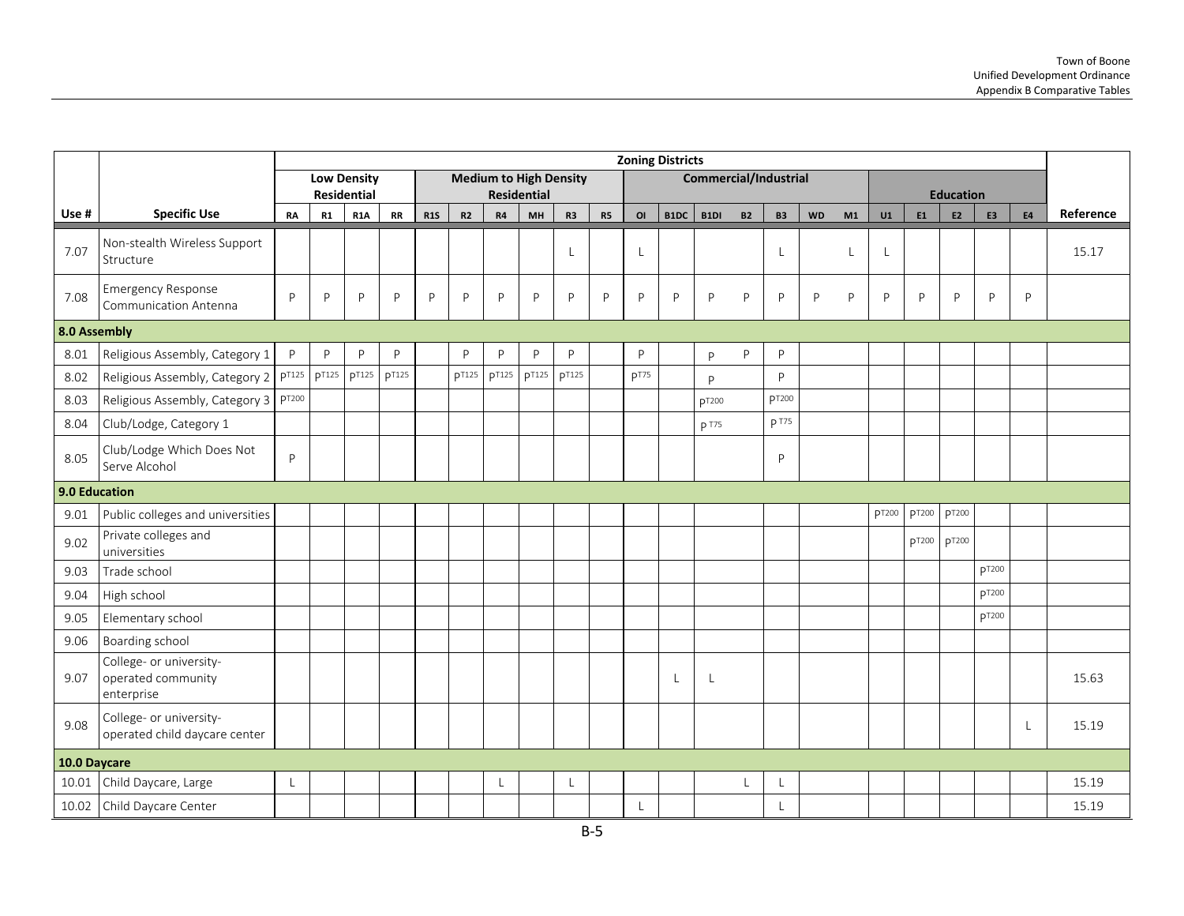|                      |                                                             |                   |               |                    |               |     |              |                                                     |               |                |    |                  | <b>Zoning Districts</b> |                       |           |                          |           |    |       |              |                   |               |           |           |
|----------------------|-------------------------------------------------------------|-------------------|---------------|--------------------|---------------|-----|--------------|-----------------------------------------------------|---------------|----------------|----|------------------|-------------------------|-----------------------|-----------|--------------------------|-----------|----|-------|--------------|-------------------|---------------|-----------|-----------|
|                      |                                                             |                   | Residential   | <b>Low Density</b> |               |     |              | <b>Medium to High Density</b><br><b>Residential</b> |               |                |    |                  |                         | Commercial/Industrial |           |                          |           |    |       |              | <b>Education</b>  |               |           |           |
| Use #                | <b>Specific Use</b>                                         | <b>RA</b>         | R1            | <b>R1A</b>         | RR            | R1S | R2           | R4                                                  | MH            | R <sub>3</sub> | R5 | OI               | B1DC                    | B1DI                  | <b>B2</b> | <b>B3</b>                | <b>WD</b> | M1 | U1    | E1           | E <sub>2</sub>    | E3            | <b>E4</b> | Reference |
| 7.07                 | Non-stealth Wireless Support<br>Structure                   |                   |               |                    |               |     |              |                                                     |               | $\mathbf{I}$   |    | L                |                         |                       |           | L                        |           | L  | L     |              |                   |               |           | 15.17     |
| 7.08                 | <b>Emergency Response</b><br>Communication Antenna          | P                 | P             | P                  | $\mathsf{P}$  | P   | P            | P                                                   | P             | $\mathsf{P}$   | P  | P                | P                       | P                     | P         | P                        | P         | P  | P     | P            | P                 | P             | P         |           |
| 8.0 Assembly         |                                                             |                   |               |                    |               |     |              |                                                     |               |                |    |                  |                         |                       |           |                          |           |    |       |              |                   |               |           |           |
| 8.01                 | Religious Assembly, Category 1                              | P                 | P             | P                  | P             |     | P            | P                                                   | P             | P              |    | P                |                         | P                     | P         | P                        |           |    |       |              |                   |               |           |           |
| 8.02                 | Religious Assembly, Category 2                              | p <sub>T125</sub> | <b>p</b> T125 | <b>p</b> T125      | <b>p</b> T125 |     | <b>pT125</b> | <b>p</b> T125                                       | <b>p</b> T125 | <b>p</b> T125  |    | p <sub>T75</sub> |                         | P                     |           | P                        |           |    |       |              |                   |               |           |           |
| 8.03                 | Religious Assembly, Category 3                              | pT200             |               |                    |               |     |              |                                                     |               |                |    |                  |                         | <b>pT200</b>          |           | <b>DT200</b>             |           |    |       |              |                   |               |           |           |
| 8.04                 | Club/Lodge, Category 1                                      |                   |               |                    |               |     |              |                                                     |               |                |    |                  |                         | p T75                 |           | <b>p</b> T75             |           |    |       |              |                   |               |           |           |
| 8.05                 | Club/Lodge Which Does Not<br>Serve Alcohol                  | $\mathsf{P}$      |               |                    |               |     |              |                                                     |               |                |    |                  |                         |                       |           | P                        |           |    |       |              |                   |               |           |           |
| <b>9.0 Education</b> |                                                             |                   |               |                    |               |     |              |                                                     |               |                |    |                  |                         |                       |           |                          |           |    |       |              |                   |               |           |           |
| 9.01                 | Public colleges and universities                            |                   |               |                    |               |     |              |                                                     |               |                |    |                  |                         |                       |           |                          |           |    | pT200 | <b>PT200</b> | <b>p</b> T200     |               |           |           |
| 9.02                 | Private colleges and<br>universities                        |                   |               |                    |               |     |              |                                                     |               |                |    |                  |                         |                       |           |                          |           |    |       | pT200        | p <sub>T200</sub> |               |           |           |
| 9.03                 | Trade school                                                |                   |               |                    |               |     |              |                                                     |               |                |    |                  |                         |                       |           |                          |           |    |       |              |                   | <b>pT200</b>  |           |           |
| 9.04                 | High school                                                 |                   |               |                    |               |     |              |                                                     |               |                |    |                  |                         |                       |           |                          |           |    |       |              |                   | pT200         |           |           |
| 9.05                 | Elementary school                                           |                   |               |                    |               |     |              |                                                     |               |                |    |                  |                         |                       |           |                          |           |    |       |              |                   | <b>p</b> T200 |           |           |
| 9.06                 | Boarding school                                             |                   |               |                    |               |     |              |                                                     |               |                |    |                  |                         |                       |           |                          |           |    |       |              |                   |               |           |           |
| 9.07                 | College- or university-<br>operated community<br>enterprise |                   |               |                    |               |     |              |                                                     |               |                |    |                  | $\mathsf{L}$            | L                     |           |                          |           |    |       |              |                   |               |           | 15.63     |
| 9.08                 | College- or university-<br>operated child daycare center    |                   |               |                    |               |     |              |                                                     |               |                |    |                  |                         |                       |           |                          |           |    |       |              |                   |               | L         | 15.19     |
| 10.0 Daycare         |                                                             |                   |               |                    |               |     |              |                                                     |               |                |    |                  |                         |                       |           |                          |           |    |       |              |                   |               |           |           |
| 10.01                | Child Daycare, Large                                        | L                 |               |                    |               |     |              | L                                                   |               | L              |    |                  |                         |                       |           | $\overline{\phantom{a}}$ |           |    |       |              |                   |               |           | 15.19     |
|                      | 10.02 Child Daycare Center                                  |                   |               |                    |               |     |              |                                                     |               |                |    | $\mathsf{L}$     |                         |                       |           |                          |           |    |       |              |                   |               |           | 15.19     |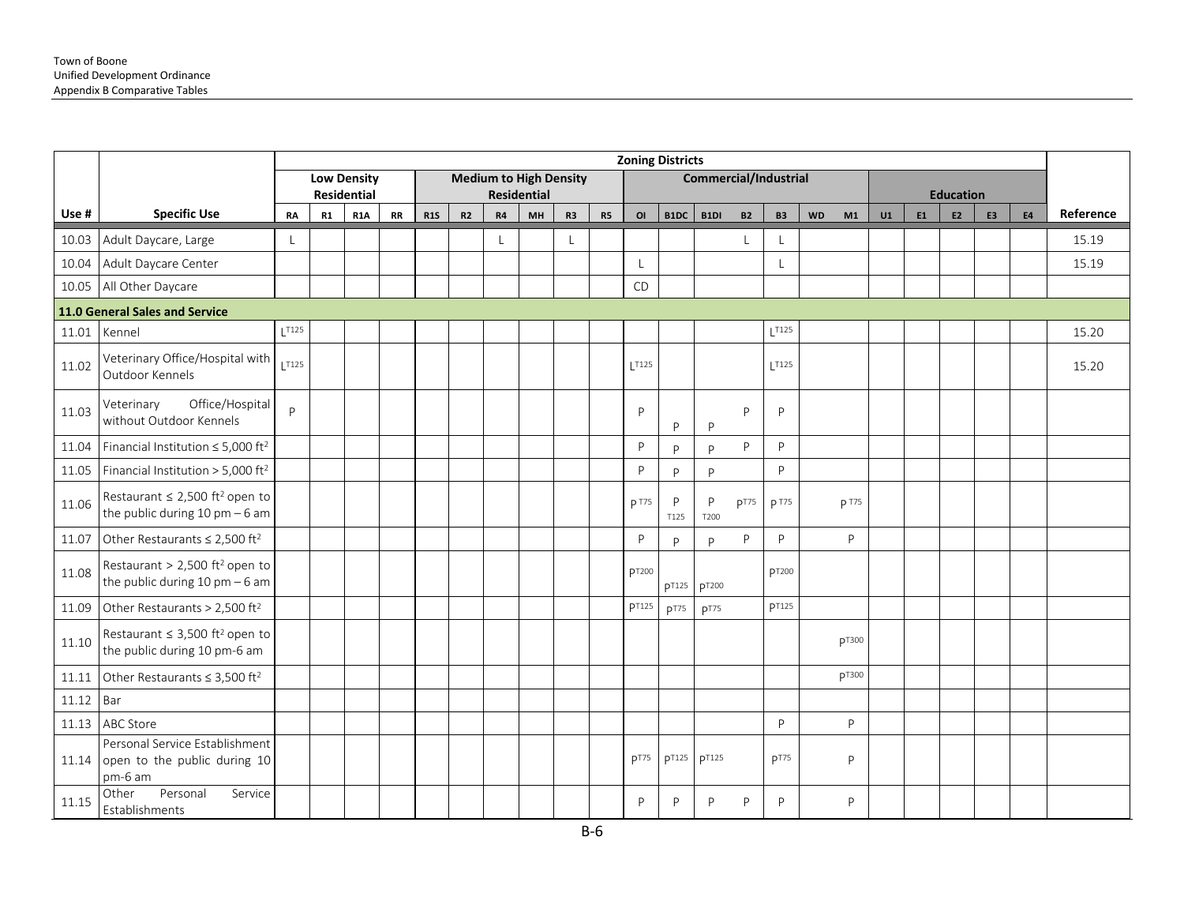|       |                                                                                      |                     |    |                                          |           |            |    |    |                                                     |                |           |                  | <b>Zoning Districts</b> |                              |                  |               |           |              |    |    |                  |    |           |           |
|-------|--------------------------------------------------------------------------------------|---------------------|----|------------------------------------------|-----------|------------|----|----|-----------------------------------------------------|----------------|-----------|------------------|-------------------------|------------------------------|------------------|---------------|-----------|--------------|----|----|------------------|----|-----------|-----------|
|       |                                                                                      |                     |    | <b>Low Density</b><br><b>Residential</b> |           |            |    |    | <b>Medium to High Density</b><br><b>Residential</b> |                |           |                  |                         | <b>Commercial/Industrial</b> |                  |               |           |              |    |    | <b>Education</b> |    |           |           |
| Use # | <b>Specific Use</b>                                                                  | RA                  | R1 | <b>R1A</b>                               | <b>RR</b> | <b>R1S</b> | R2 | R4 | MH                                                  | R <sub>3</sub> | <b>R5</b> | O <sub>l</sub>   | B1DC                    | B1DI                         | <b>B2</b>        | <b>B3</b>     | <b>WD</b> | M1           | U1 | E1 | E <sub>2</sub>   | E3 | <b>E4</b> | Reference |
| 10.03 | Adult Daycare, Large                                                                 | L                   |    |                                          |           |            |    |    |                                                     | L              |           |                  |                         |                              |                  | $\lfloor$     |           |              |    |    |                  |    |           | 15.19     |
| 10.04 | Adult Daycare Center                                                                 |                     |    |                                          |           |            |    |    |                                                     |                |           |                  |                         |                              |                  | L             |           |              |    |    |                  |    |           | 15.19     |
| 10.05 | All Other Daycare                                                                    |                     |    |                                          |           |            |    |    |                                                     |                |           | CD               |                         |                              |                  |               |           |              |    |    |                  |    |           |           |
|       | 11.0 General Sales and Service                                                       |                     |    |                                          |           |            |    |    |                                                     |                |           |                  |                         |                              |                  |               |           |              |    |    |                  |    |           |           |
| 11.01 | Kennel                                                                               | $L$ <sup>T125</sup> |    |                                          |           |            |    |    |                                                     |                |           |                  |                         |                              |                  | $L$ T125      |           |              |    |    |                  |    |           | 15.20     |
| 11.02 | Veterinary Office/Hospital with<br>Outdoor Kennels                                   | $\overline{1125}$   |    |                                          |           |            |    |    |                                                     |                |           | 1T125            |                         |                              |                  | 1T125         |           |              |    |    |                  |    |           | 15.20     |
| 11.03 | Office/Hospital<br>Veterinary<br>without Outdoor Kennels                             | P                   |    |                                          |           |            |    |    |                                                     |                |           | P                | P                       | $\mathsf{P}$                 | P                | P             |           |              |    |    |                  |    |           |           |
| 11.04 | Financial Institution $\leq$ 5,000 ft <sup>2</sup>                                   |                     |    |                                          |           |            |    |    |                                                     |                |           | P                | <b>P</b>                | P                            | P                | P             |           |              |    |    |                  |    |           |           |
| 11.05 | Financial Institution > 5,000 ft <sup>2</sup>                                        |                     |    |                                          |           |            |    |    |                                                     |                |           | P                | P                       | P                            |                  | P             |           |              |    |    |                  |    |           |           |
| 11.06 | Restaurant $\leq$ 2,500 ft <sup>2</sup> open to<br>the public during $10$ pm $-6$ am |                     |    |                                          |           |            |    |    |                                                     |                |           | p T75            | P<br>T125               | P<br>T200                    | p <sub>T75</sub> | p T75         |           | p T75        |    |    |                  |    |           |           |
| 11.07 | Other Restaurants $\leq 2,500$ ft <sup>2</sup>                                       |                     |    |                                          |           |            |    |    |                                                     |                |           | P                | P                       | p                            | P                | P             |           | P            |    |    |                  |    |           |           |
| 11.08 | Restaurant > 2,500 ft <sup>2</sup> open to<br>the public during $10$ pm $-6$ am      |                     |    |                                          |           |            |    |    |                                                     |                |           | pT200            | pT125                   | pT200                        |                  | <b>DT200</b>  |           |              |    |    |                  |    |           |           |
| 11.09 | Other Restaurants > 2,500 ft <sup>2</sup>                                            |                     |    |                                          |           |            |    |    |                                                     |                |           | <b>PT125</b>     | p <sub>T75</sub>        | p <sub>T75</sub>             |                  | <b>p</b> T125 |           |              |    |    |                  |    |           |           |
| 11.10 | Restaurant $\leq$ 3,500 ft <sup>2</sup> open to<br>the public during 10 pm-6 am      |                     |    |                                          |           |            |    |    |                                                     |                |           |                  |                         |                              |                  |               |           | pT300        |    |    |                  |    |           |           |
| 11.11 | Other Restaurants ≤ 3,500 ft <sup>2</sup>                                            |                     |    |                                          |           |            |    |    |                                                     |                |           |                  |                         |                              |                  |               |           | <b>PT300</b> |    |    |                  |    |           |           |
| 11.12 | Bar                                                                                  |                     |    |                                          |           |            |    |    |                                                     |                |           |                  |                         |                              |                  |               |           |              |    |    |                  |    |           |           |
| 11.13 | ABC Store                                                                            |                     |    |                                          |           |            |    |    |                                                     |                |           |                  |                         |                              |                  | P             |           | P            |    |    |                  |    |           |           |
| 11.14 | Personal Service Establishment<br>open to the public during 10<br>pm-6 am            |                     |    |                                          |           |            |    |    |                                                     |                |           | p <sub>T75</sub> | <b>PT125</b>            | <b>PT125</b>                 |                  | PT75          |           | P            |    |    |                  |    |           |           |
| 11.15 | Personal<br>Service<br>Other<br>Establishments                                       |                     |    |                                          |           |            |    |    |                                                     |                |           | P                | P                       | P                            | P                | P             |           | P            |    |    |                  |    |           |           |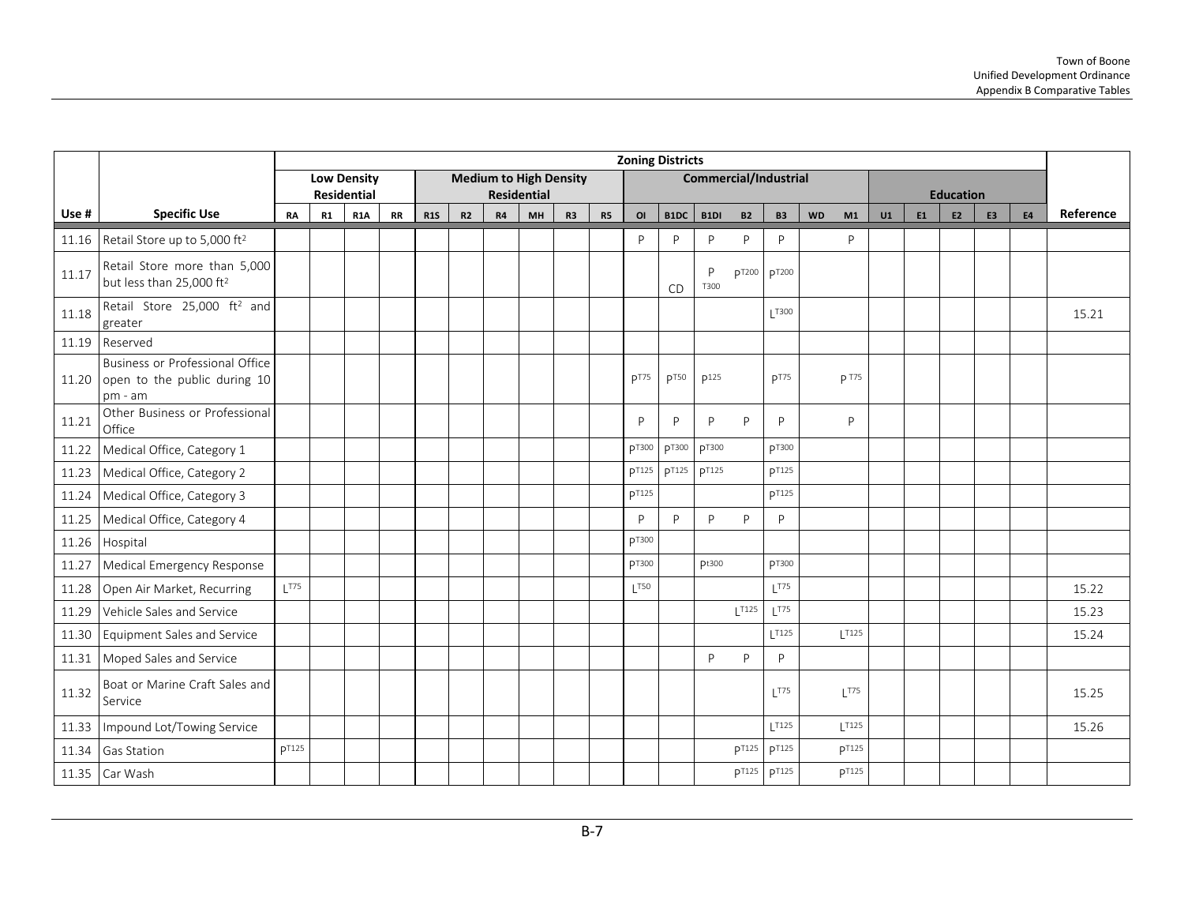|       |                                                                                    |              |    |                    |           |            |    |    |                               |                |           |                | <b>Zoning Districts</b> |           |                              |                    |                    |    |    |                  |                |           |           |
|-------|------------------------------------------------------------------------------------|--------------|----|--------------------|-----------|------------|----|----|-------------------------------|----------------|-----------|----------------|-------------------------|-----------|------------------------------|--------------------|--------------------|----|----|------------------|----------------|-----------|-----------|
|       |                                                                                    |              |    | <b>Low Density</b> |           |            |    |    | <b>Medium to High Density</b> |                |           |                |                         |           | <b>Commercial/Industrial</b> |                    |                    |    |    |                  |                |           |           |
|       |                                                                                    |              |    | <b>Residential</b> |           |            |    |    | <b>Residential</b>            |                |           |                |                         |           |                              |                    |                    |    |    | <b>Education</b> |                |           |           |
| Use # | <b>Specific Use</b>                                                                | RA           | R1 | <b>R1A</b>         | <b>RR</b> | <b>R1S</b> | R2 | R4 | MH                            | R <sub>3</sub> | <b>R5</b> | O <sub>I</sub> | B1DC                    | B1DI      | <b>B2</b>                    | <b>B3</b>          | <b>WD</b><br>M1    | U1 | E1 | E <sub>2</sub>   | E <sub>3</sub> | <b>E4</b> | Reference |
|       | 11.16 Retail Store up to 5,000 ft <sup>2</sup>                                     |              |    |                    |           |            |    |    |                               |                |           | P              | P                       | P         | P                            | P                  | P                  |    |    |                  |                |           |           |
| 11.17 | Retail Store more than 5,000<br>but less than 25,000 ft <sup>2</sup>               |              |    |                    |           |            |    |    |                               |                |           |                | CD                      | P<br>T300 | pT200                        | pT200              |                    |    |    |                  |                |           |           |
| 11.18 | Retail Store 25,000 ft <sup>2</sup> and<br>greater                                 |              |    |                    |           |            |    |    |                               |                |           |                |                         |           |                              | T300               |                    |    |    |                  |                |           | 15.21     |
| 11.19 | Reserved                                                                           |              |    |                    |           |            |    |    |                               |                |           |                |                         |           |                              |                    |                    |    |    |                  |                |           |           |
|       | Business or Professional Office<br>11.20 open to the public during 10<br>$pm - am$ |              |    |                    |           |            |    |    |                               |                |           | pT75           | p <sub>T50</sub>        | p125      |                              | p <sub>T75</sub>   | p T75              |    |    |                  |                |           |           |
| 11.21 | Other Business or Professional<br>Office                                           |              |    |                    |           |            |    |    |                               |                |           | P              | P                       | P         | P                            | P                  | P                  |    |    |                  |                |           |           |
| 11.22 | Medical Office, Category 1                                                         |              |    |                    |           |            |    |    |                               |                |           | pT300          | pT300                   | pT300     |                              | pT300              |                    |    |    |                  |                |           |           |
| 11.23 | Medical Office, Category 2                                                         |              |    |                    |           |            |    |    |                               |                |           | <b>p</b> T125  | <b>p</b> T125           | DT125     |                              | <b>pT125</b>       |                    |    |    |                  |                |           |           |
| 11.24 | Medical Office, Category 3                                                         |              |    |                    |           |            |    |    |                               |                |           | <b>PT125</b>   |                         |           |                              | <b>PT125</b>       |                    |    |    |                  |                |           |           |
| 11.25 | Medical Office, Category 4                                                         |              |    |                    |           |            |    |    |                               |                |           | D              | <b>P</b>                | P         | P                            | P                  |                    |    |    |                  |                |           |           |
| 11.26 | Hospital                                                                           |              |    |                    |           |            |    |    |                               |                |           | <b>pT300</b>   |                         |           |                              |                    |                    |    |    |                  |                |           |           |
| 11.27 | Medical Emergency Response                                                         |              |    |                    |           |            |    |    |                               |                |           | <b>DT300</b>   |                         | pt300     |                              | <b>pT300</b>       |                    |    |    |                  |                |           |           |
| 11.28 | Open Air Market, Recurring                                                         | 1T75         |    |                    |           |            |    |    |                               |                |           | 1T50           |                         |           |                              | 1T75               |                    |    |    |                  |                |           | 15.22     |
| 11.29 | Vehicle Sales and Service                                                          |              |    |                    |           |            |    |    |                               |                |           |                |                         |           | $1$ T <sub>125</sub>         | $L$ <sup>T75</sup> |                    |    |    |                  |                |           | 15.23     |
| 11.30 | Equipment Sales and Service                                                        |              |    |                    |           |            |    |    |                               |                |           |                |                         |           |                              | T125               | T125               |    |    |                  |                |           | 15.24     |
| 11.31 | Moped Sales and Service                                                            |              |    |                    |           |            |    |    |                               |                |           |                |                         | P         | P                            | P                  |                    |    |    |                  |                |           |           |
| 11.32 | Boat or Marine Craft Sales and<br>Service                                          |              |    |                    |           |            |    |    |                               |                |           |                |                         |           |                              | 1T75               | $L$ <sup>T75</sup> |    |    |                  |                |           | 15.25     |
| 11.33 | Impound Lot/Towing Service                                                         |              |    |                    |           |            |    |    |                               |                |           |                |                         |           |                              | T125               | 1T125              |    |    |                  |                |           | 15.26     |
| 11.34 | Gas Station                                                                        | <b>DT125</b> |    |                    |           |            |    |    |                               |                |           |                |                         |           | <b>p</b> T125                | <b>pT125</b>       | <b>DT125</b>       |    |    |                  |                |           |           |
|       | 11.35 Car Wash                                                                     |              |    |                    |           |            |    |    |                               |                |           |                |                         |           | <b>p</b> T125                | <b>p</b> T125      | <b>p</b> T125      |    |    |                  |                |           |           |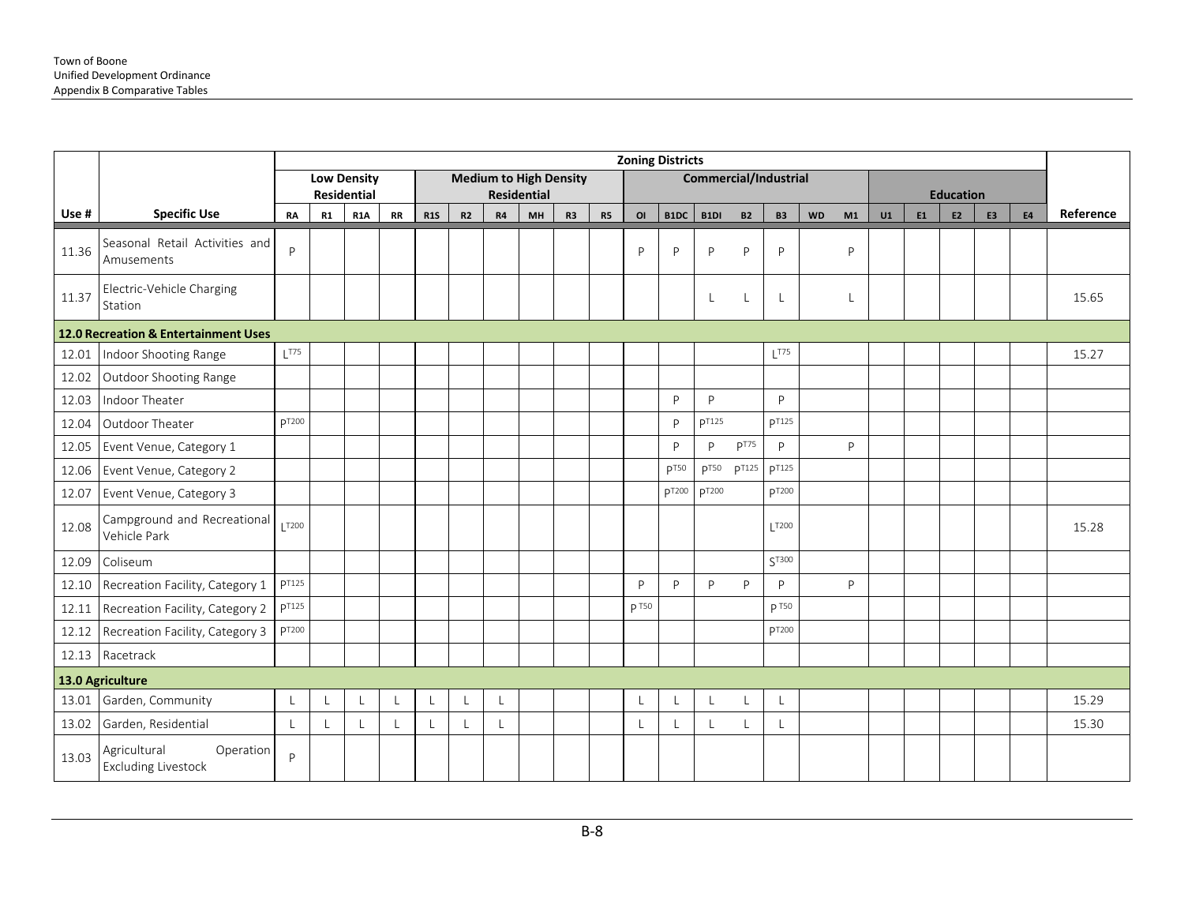|       |                                                         |                                 |    |                                 |           |            |                |    |                               |                |                |              | <b>Zoning Districts</b> |              |                  |                              |           |    |    |    |                                    |                |           |           |
|-------|---------------------------------------------------------|---------------------------------|----|---------------------------------|-----------|------------|----------------|----|-------------------------------|----------------|----------------|--------------|-------------------------|--------------|------------------|------------------------------|-----------|----|----|----|------------------------------------|----------------|-----------|-----------|
|       |                                                         |                                 |    | <b>Low Density</b>              |           |            |                |    | <b>Medium to High Density</b> |                |                |              |                         |              |                  | <b>Commercial/Industrial</b> |           |    |    |    |                                    |                |           |           |
| Use # | <b>Specific Use</b>                                     | <b>RA</b>                       | R1 | Residential<br>R <sub>1</sub> A | <b>RR</b> | <b>R1S</b> | R2             | R4 | <b>Residential</b><br>MH      | R <sub>3</sub> | R <sub>5</sub> | OI           | B1DC                    | B1DI         | <b>B2</b>        | <b>B3</b>                    | <b>WD</b> | M1 | U1 | E1 | <b>Education</b><br>E <sub>2</sub> | E <sub>3</sub> | <b>E4</b> | Reference |
|       |                                                         |                                 |    |                                 |           |            |                |    |                               |                |                |              |                         |              |                  |                              |           |    |    |    |                                    |                |           |           |
| 11.36 | Seasonal Retail Activities and<br>Amusements            | P                               |    |                                 |           |            |                |    |                               |                |                | P            | $\mathsf{P}$            | P            | P                | P                            |           | P  |    |    |                                    |                |           |           |
| 11.37 | Electric-Vehicle Charging<br>Station                    |                                 |    |                                 |           |            |                |    |                               |                |                |              |                         | L            | L                | L                            |           | L  |    |    |                                    |                |           | 15.65     |
|       | 12.0 Recreation & Entertainment Uses                    |                                 |    |                                 |           |            |                |    |                               |                |                |              |                         |              |                  |                              |           |    |    |    |                                    |                |           |           |
| 12.01 | Indoor Shooting Range                                   | $L$ <sup><math>T75</math></sup> |    |                                 |           |            |                |    |                               |                |                |              |                         |              |                  | $L$ T75                      |           |    |    |    |                                    |                |           | 15.27     |
| 12.02 | Outdoor Shooting Range                                  |                                 |    |                                 |           |            |                |    |                               |                |                |              |                         |              |                  |                              |           |    |    |    |                                    |                |           |           |
| 12.03 | Indoor Theater                                          |                                 |    |                                 |           |            |                |    |                               |                |                |              | $\mathsf{P}$            | P            |                  | P                            |           |    |    |    |                                    |                |           |           |
| 12.04 | Outdoor Theater                                         | <b>PT200</b>                    |    |                                 |           |            |                |    |                               |                |                |              | P                       | <b>PT125</b> |                  | <b>p</b> T125                |           |    |    |    |                                    |                |           |           |
| 12.05 | Event Venue, Category 1                                 |                                 |    |                                 |           |            |                |    |                               |                |                |              | <b>P</b>                | P            | p <sub>T75</sub> | P                            |           | P  |    |    |                                    |                |           |           |
| 12.06 | Event Venue, Category 2                                 |                                 |    |                                 |           |            |                |    |                               |                |                |              | p <sub>T50</sub>        | <b>pT50</b>  | <b>p</b> T125    | <b>pT125</b>                 |           |    |    |    |                                    |                |           |           |
| 12.07 | Event Venue, Category 3                                 |                                 |    |                                 |           |            |                |    |                               |                |                |              | pT200                   | <b>DT200</b> |                  | <b>pT200</b>                 |           |    |    |    |                                    |                |           |           |
| 12.08 | Campground and Recreational<br>Vehicle Park             | <b>T200</b>                     |    |                                 |           |            |                |    |                               |                |                |              |                         |              |                  | T200                         |           |    |    |    |                                    |                |           | 15.28     |
| 12.09 | Coliseum                                                |                                 |    |                                 |           |            |                |    |                               |                |                |              |                         |              |                  | ST300                        |           |    |    |    |                                    |                |           |           |
| 12.10 | Recreation Facility, Category 1                         | pT125                           |    |                                 |           |            |                |    |                               |                |                | D            | P                       | P            | P                | P                            |           | P  |    |    |                                    |                |           |           |
| 12.11 | Recreation Facility, Category 2                         | <b>p</b> T125                   |    |                                 |           |            |                |    |                               |                |                | <b>p</b> T50 |                         |              |                  | <b>p</b> T50                 |           |    |    |    |                                    |                |           |           |
| 12.12 | Recreation Facility, Category 3                         | P <sub>T200</sub>               |    |                                 |           |            |                |    |                               |                |                |              |                         |              |                  | p <sub>T200</sub>            |           |    |    |    |                                    |                |           |           |
| 12.13 | Racetrack                                               |                                 |    |                                 |           |            |                |    |                               |                |                |              |                         |              |                  |                              |           |    |    |    |                                    |                |           |           |
|       | 13.0 Agriculture                                        |                                 |    |                                 |           |            |                |    |                               |                |                |              |                         |              |                  |                              |           |    |    |    |                                    |                |           |           |
| 13.01 | Garden, Community                                       | $\overline{1}$                  |    | $\mathsf{L}$                    | $\perp$   | L          | $\overline{1}$ | L  |                               |                |                | $\perp$      | L                       | $\mathsf{L}$ | L                | $\mathsf{L}$                 |           |    |    |    |                                    |                |           | 15.29     |
| 13.02 | Garden, Residential                                     | $\mathbf{L}$                    |    | L                               |           | L          |                | L  |                               |                |                |              | L                       | L            |                  |                              |           |    |    |    |                                    |                |           | 15.30     |
| 13.03 | Operation<br>Agricultural<br><b>Excluding Livestock</b> | P                               |    |                                 |           |            |                |    |                               |                |                |              |                         |              |                  |                              |           |    |    |    |                                    |                |           |           |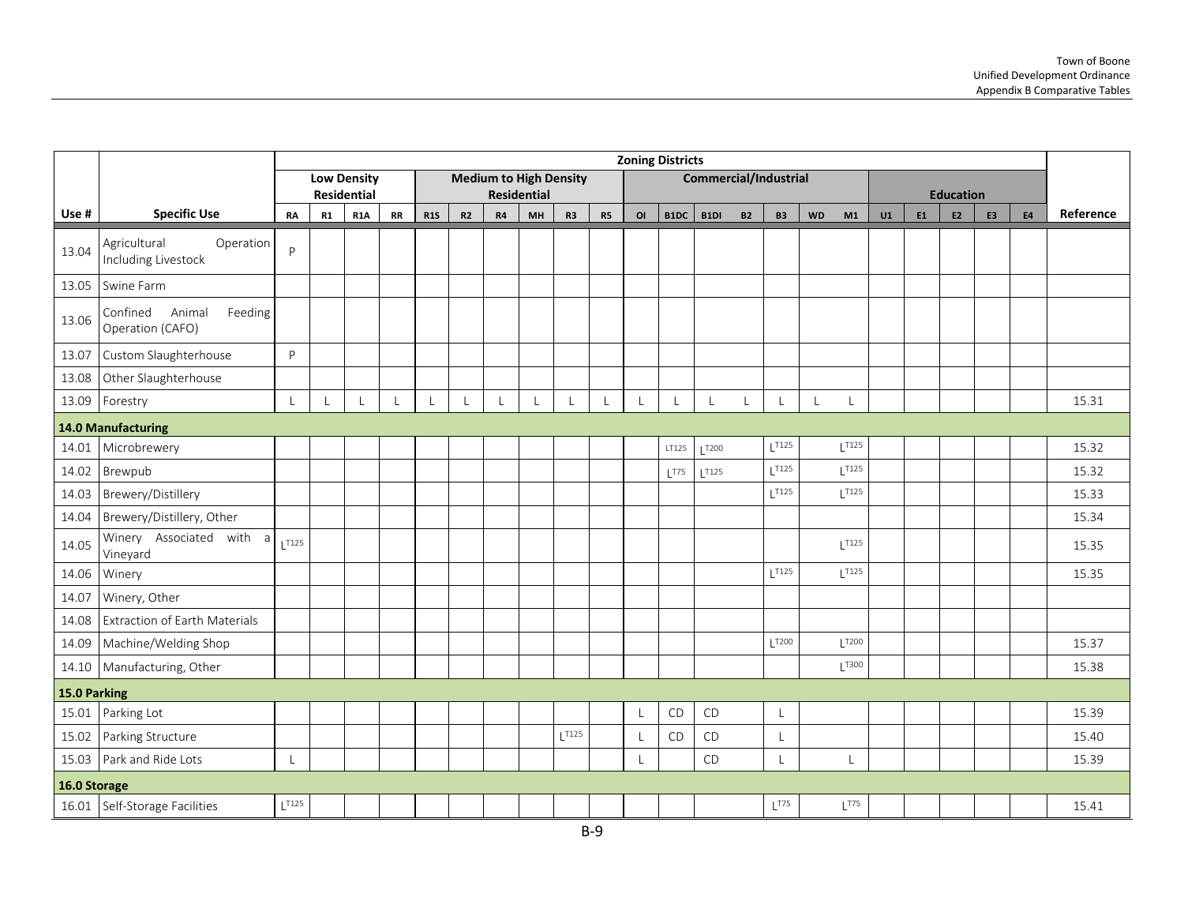|              |                                                         |              |                          |                           |              |              |    |           |                          |                               |    |    | <b>Zoning Districts</b> |                              |              |                    |              |                     |    |    |                                    |                |           |           |
|--------------|---------------------------------------------------------|--------------|--------------------------|---------------------------|--------------|--------------|----|-----------|--------------------------|-------------------------------|----|----|-------------------------|------------------------------|--------------|--------------------|--------------|---------------------|----|----|------------------------------------|----------------|-----------|-----------|
|              |                                                         |              |                          | <b>Low Density</b>        |              |              |    |           |                          | <b>Medium to High Density</b> |    |    |                         | <b>Commercial/Industrial</b> |              |                    |              |                     |    |    |                                    |                |           |           |
| Use #        | <b>Specific Use</b>                                     | <b>RA</b>    | R1                       | Residential<br><b>R1A</b> | <b>RR</b>    | <b>R1S</b>   | R2 | <b>R4</b> | <b>Residential</b><br>MH | R <sub>3</sub>                | R5 | OI | B1DC                    | B1DI                         | <b>B2</b>    | <b>B3</b>          | <b>WD</b>    | M1                  | U1 | E1 | <b>Education</b><br>E <sub>2</sub> | E <sub>3</sub> | <b>E4</b> | Reference |
| 13.04        | Agricultural<br>Operation<br>Including Livestock        | P            |                          |                           |              |              |    |           |                          |                               |    |    |                         |                              |              |                    |              |                     |    |    |                                    |                |           |           |
|              | 13.05 Swine Farm                                        |              |                          |                           |              |              |    |           |                          |                               |    |    |                         |                              |              |                    |              |                     |    |    |                                    |                |           |           |
| 13.06        | Confined<br>Animal<br>Feeding<br>Operation (CAFO)       |              |                          |                           |              |              |    |           |                          |                               |    |    |                         |                              |              |                    |              |                     |    |    |                                    |                |           |           |
| 13.07        | Custom Slaughterhouse                                   | P            |                          |                           |              |              |    |           |                          |                               |    |    |                         |                              |              |                    |              |                     |    |    |                                    |                |           |           |
| 13.08        | Other Slaughterhouse                                    |              |                          |                           |              |              |    |           |                          |                               |    |    |                         |                              |              |                    |              |                     |    |    |                                    |                |           |           |
| 13.09        | Forestry                                                | $\mathsf{L}$ | $\overline{\phantom{a}}$ |                           | $\mathbf{I}$ | $\mathbf{L}$ | L  |           |                          | $\mathsf{L}$                  |    | L  | $\mathsf{L}$            | $\mathsf{L}$                 | $\mathsf{L}$ | L                  | $\mathsf{L}$ | L                   |    |    |                                    |                |           | 15.31     |
|              | 14.0 Manufacturing                                      |              |                          |                           |              |              |    |           |                          |                               |    |    |                         |                              |              |                    |              |                     |    |    |                                    |                |           |           |
| 14.01        | Microbrewery                                            |              |                          |                           |              |              |    |           |                          |                               |    |    | LT125                   | T200                         |              | 1T125              |              | 1T125               |    |    |                                    |                |           | 15.32     |
| 14.02        | Brewpub                                                 |              |                          |                           |              |              |    |           |                          |                               |    |    | 1775                    | 1T125                        |              | 1T125              |              | $L^{T125}$          |    |    |                                    |                |           | 15.32     |
| 14.03        | Brewery/Distillery                                      |              |                          |                           |              |              |    |           |                          |                               |    |    |                         |                              |              | $L^{T125}$         |              | $L$ <sup>T125</sup> |    |    |                                    |                |           | 15.33     |
| 14.04        | Brewery/Distillery, Other                               |              |                          |                           |              |              |    |           |                          |                               |    |    |                         |                              |              |                    |              |                     |    |    |                                    |                |           | 15.34     |
| 14.05        | Winery Associated with $a \Big _{L^{T125}}$<br>Vineyard |              |                          |                           |              |              |    |           |                          |                               |    |    |                         |                              |              |                    |              | $L^{T125}$          |    |    |                                    |                |           | 15.35     |
| 14.06        | Winery                                                  |              |                          |                           |              |              |    |           |                          |                               |    |    |                         |                              |              | 1T125              |              | 1T125               |    |    |                                    |                |           | 15.35     |
| 14.07        | Winery, Other                                           |              |                          |                           |              |              |    |           |                          |                               |    |    |                         |                              |              |                    |              |                     |    |    |                                    |                |           |           |
| 14.08        | <b>Extraction of Earth Materials</b>                    |              |                          |                           |              |              |    |           |                          |                               |    |    |                         |                              |              |                    |              |                     |    |    |                                    |                |           |           |
| 14.09        | Machine/Welding Shop                                    |              |                          |                           |              |              |    |           |                          |                               |    |    |                         |                              |              | T200               |              | $L$ <sup>T200</sup> |    |    |                                    |                |           | 15.37     |
| 14.10        | Manufacturing, Other                                    |              |                          |                           |              |              |    |           |                          |                               |    |    |                         |                              |              |                    |              | $L^{T300}$          |    |    |                                    |                |           | 15.38     |
| 15.0 Parking |                                                         |              |                          |                           |              |              |    |           |                          |                               |    |    |                         |                              |              |                    |              |                     |    |    |                                    |                |           |           |
| 15.01        | Parking Lot                                             |              |                          |                           |              |              |    |           |                          |                               |    | L  | CD                      | CD                           |              | $\overline{1}$     |              |                     |    |    |                                    |                |           | 15.39     |
| 15.02        | Parking Structure                                       |              |                          |                           |              |              |    |           |                          | T125                          |    | L  | CD                      | CD                           |              | $\perp$            |              |                     |    |    |                                    |                |           | 15.40     |
| 15.03        | Park and Ride Lots                                      | L            |                          |                           |              |              |    |           |                          |                               |    | L  |                         | CD                           |              | L                  |              | L                   |    |    |                                    |                |           | 15.39     |
| 16.0 Storage |                                                         |              |                          |                           |              |              |    |           |                          |                               |    |    |                         |                              |              |                    |              |                     |    |    |                                    |                |           |           |
|              | 16.01 Self-Storage Facilities                           | $L$ T125     |                          |                           |              |              |    |           |                          |                               |    |    |                         |                              |              | $L$ <sup>T75</sup> |              | $L^{T75}$           |    |    |                                    |                |           | 15.41     |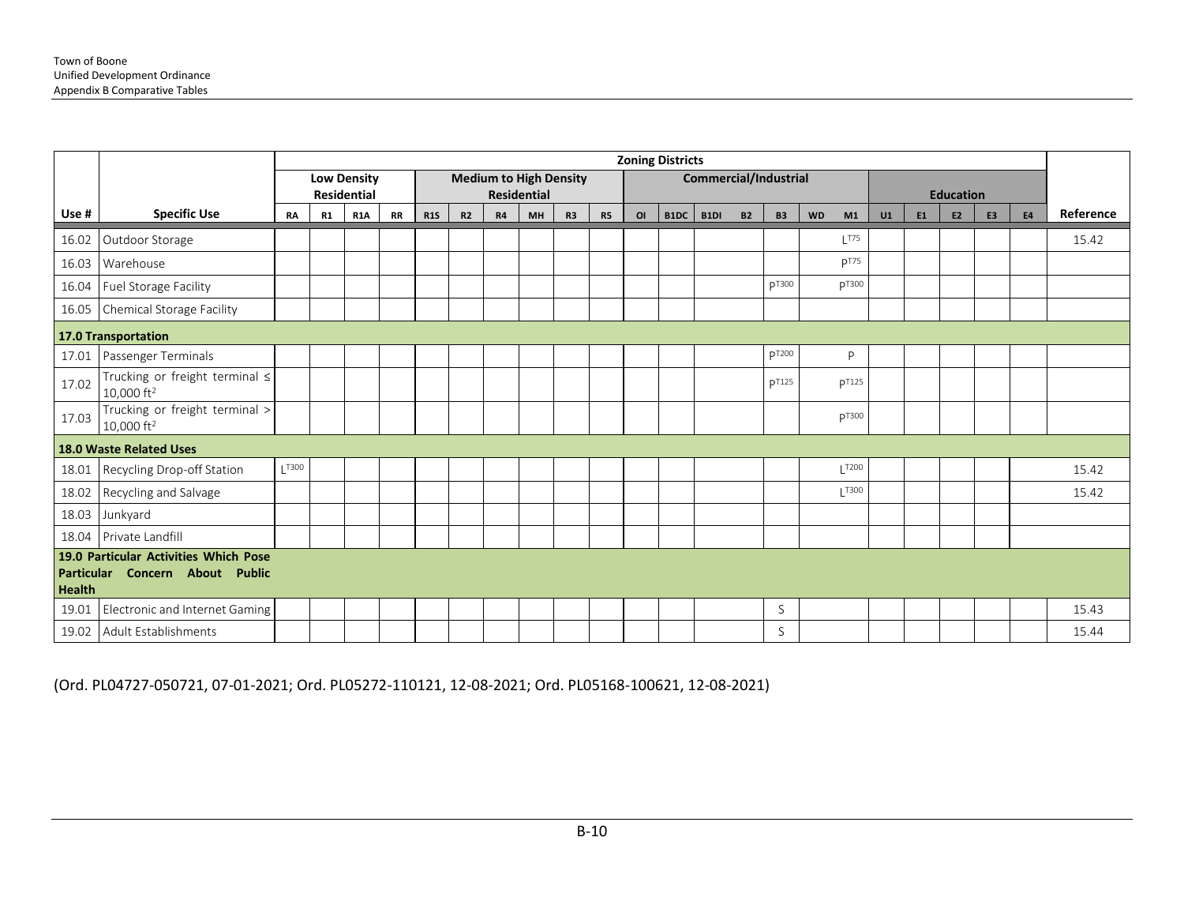|               |                                                                          |           |           |                    |           |            |                |           |                               |    |           |                | <b>Zoning Districts</b> |                              |           |              |           |                    |    |           |                  |                |           |           |
|---------------|--------------------------------------------------------------------------|-----------|-----------|--------------------|-----------|------------|----------------|-----------|-------------------------------|----|-----------|----------------|-------------------------|------------------------------|-----------|--------------|-----------|--------------------|----|-----------|------------------|----------------|-----------|-----------|
|               |                                                                          |           |           | <b>Low Density</b> |           |            |                |           | <b>Medium to High Density</b> |    |           |                |                         | <b>Commercial/Industrial</b> |           |              |           |                    |    |           |                  |                |           |           |
|               |                                                                          |           |           | <b>Residential</b> |           |            |                |           | <b>Residential</b>            |    |           |                |                         |                              |           |              |           |                    |    |           | <b>Education</b> |                |           |           |
| Use #         | <b>Specific Use</b>                                                      | <b>RA</b> | <b>R1</b> | <b>R1A</b>         | <b>RR</b> | <b>R1S</b> | R <sub>2</sub> | <b>R4</b> | <b>MH</b>                     | R3 | <b>R5</b> | O <sub>l</sub> | B1DC                    | B <sub>1</sub> DI            | <b>B2</b> | <b>B3</b>    | <b>WD</b> | M1                 | U1 | <b>E1</b> | E <sub>2</sub>   | E <sub>3</sub> | <b>E4</b> | Reference |
| 16.02         | Outdoor Storage                                                          |           |           |                    |           |            |                |           |                               |    |           |                |                         |                              |           |              |           | $L$ <sup>T75</sup> |    |           |                  |                |           | 15.42     |
| 16.03         | Warehouse                                                                |           |           |                    |           |            |                |           |                               |    |           |                |                         |                              |           |              |           | p <sub>T75</sub>   |    |           |                  |                |           |           |
| 16.04         | Fuel Storage Facility                                                    |           |           |                    |           |            |                |           |                               |    |           |                |                         |                              |           | <b>DT300</b> |           | <b>DT300</b>       |    |           |                  |                |           |           |
| 16.05         | Chemical Storage Facility                                                |           |           |                    |           |            |                |           |                               |    |           |                |                         |                              |           |              |           |                    |    |           |                  |                |           |           |
|               | 17.0 Transportation                                                      |           |           |                    |           |            |                |           |                               |    |           |                |                         |                              |           |              |           |                    |    |           |                  |                |           |           |
| 17.01         | Passenger Terminals                                                      |           |           |                    |           |            |                |           |                               |    |           |                |                         |                              |           | pT200        |           | P                  |    |           |                  |                |           |           |
| 17.02         | Trucking or freight terminal $\leq$<br>10,000 ft <sup>2</sup>            |           |           |                    |           |            |                |           |                               |    |           |                |                         |                              |           | <b>DT125</b> |           | <b>DT125</b>       |    |           |                  |                |           |           |
| 17.03         | Trucking or freight terminal ><br>10,000 ft <sup>2</sup>                 |           |           |                    |           |            |                |           |                               |    |           |                |                         |                              |           |              |           | <b>PT300</b>       |    |           |                  |                |           |           |
|               | <b>18.0 Waste Related Uses</b>                                           |           |           |                    |           |            |                |           |                               |    |           |                |                         |                              |           |              |           |                    |    |           |                  |                |           |           |
| 18.01         | Recycling Drop-off Station                                               | T300      |           |                    |           |            |                |           |                               |    |           |                |                         |                              |           |              |           | $L$ T200           |    |           |                  |                |           | 15.42     |
| 18.02         | Recycling and Salvage                                                    |           |           |                    |           |            |                |           |                               |    |           |                |                         |                              |           |              |           | $\overline{)1300}$ |    |           |                  |                |           | 15.42     |
| 18.03         | Junkyard                                                                 |           |           |                    |           |            |                |           |                               |    |           |                |                         |                              |           |              |           |                    |    |           |                  |                |           |           |
| 18.04         | Private Landfill                                                         |           |           |                    |           |            |                |           |                               |    |           |                |                         |                              |           |              |           |                    |    |           |                  |                |           |           |
| <b>Health</b> | 19.0 Particular Activities Which Pose<br>Particular Concern About Public |           |           |                    |           |            |                |           |                               |    |           |                |                         |                              |           |              |           |                    |    |           |                  |                |           |           |
| 19.01         | Electronic and Internet Gaming                                           |           |           |                    |           |            |                |           |                               |    |           |                |                         |                              |           | S            |           |                    |    |           |                  |                |           | 15.43     |
|               | 19.02 Adult Establishments                                               |           |           |                    |           |            |                |           |                               |    |           |                |                         |                              |           | S            |           |                    |    |           |                  |                |           | 15.44     |

(Ord. PL04727-050721, 07-01-2021; Ord. PL05272-110121, 12-08-2021; Ord. PL05168-100621, 12-08-2021)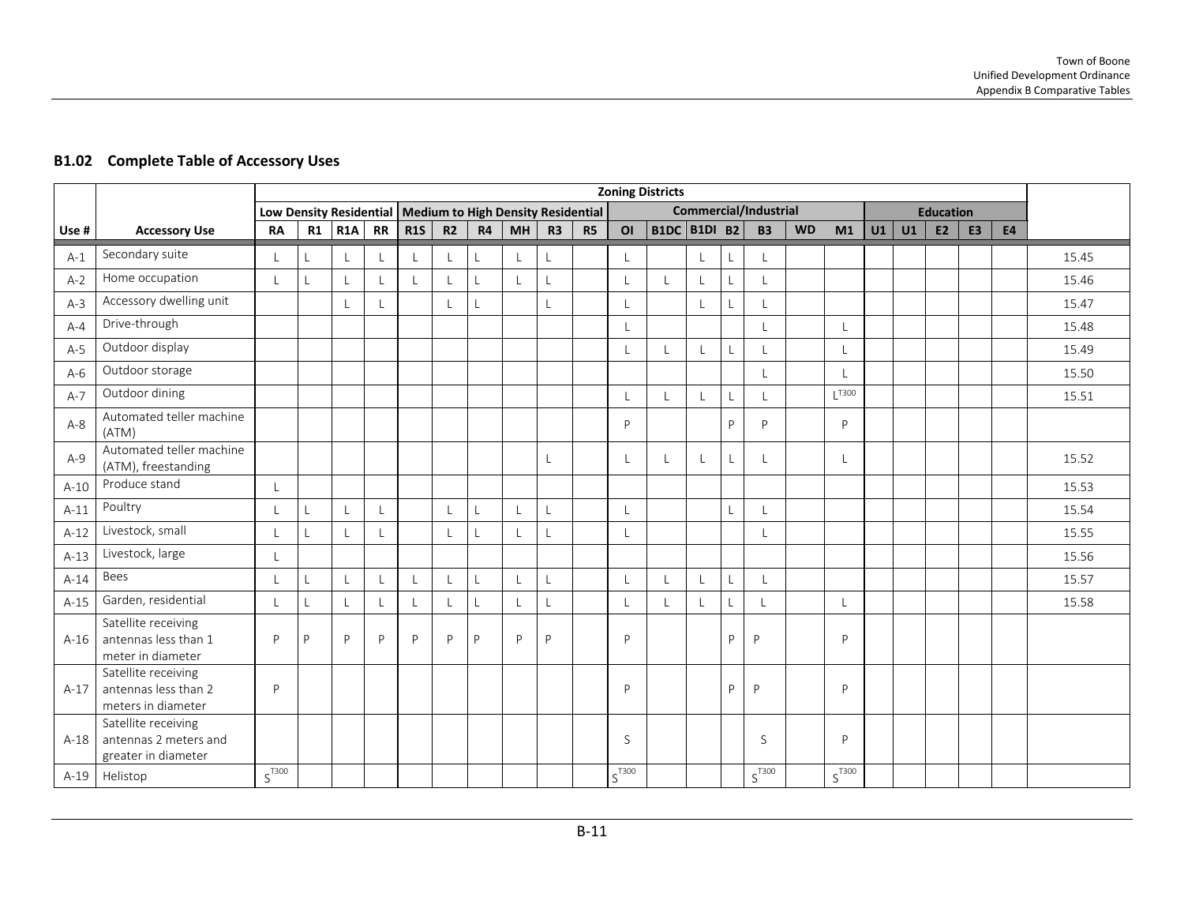15.45

15.51

# **Use # Accessory Use Low Density Residential Medium to High Density Residential Commercial/Industrial Education**<br> **RA** | R1 | R1A | RR | R1S | R2 | R4 | MH | R3 | R5 | O1 | B1DC | B1DI B2 | B3 | WD | M1 | U1 | U1 | E2 | E3 RA | R1 | R1A | RR | R1S | R2 | R4 | MH | R3 | R5 | OI |B1DC |B1DI B2 | B3 | WD | M1 | U1 | U1 | E2 | E3 | E4 A-1 Secondary suite L L L L L L L L L L L L L A-2 Home occupation L L L L L L L L L L L L L L 15.46 A-3 Accessory dwelling unit L L L L L L L L L 15.47 A-4 Drive-through L L L 15.48 A-5 Outdoor display L L L L L L 15.49 A-6 Outdoor storage L L 15.50 A-7 Outdoor dining L L L L L L T300 A-8 Automated teller machine (ATM) <sup>P</sup> <sup>P</sup> <sup>P</sup> <sup>P</sup> <sup>P</sup> <sup>P</sup> Automated teller machine Satellite receiving

#### **B1.02 Complete Table of Accessory Uses**

|        | (AIM)                                                               |            |   |   |   |   |   |   |   |    |            |  |    |            |                          |  |  |       |
|--------|---------------------------------------------------------------------|------------|---|---|---|---|---|---|---|----|------------|--|----|------------|--------------------------|--|--|-------|
| $A-9$  | Automated teller machine<br>(ATM), freestanding                     |            |   |   |   |   |   |   |   |    |            |  | L. |            |                          |  |  | 15.52 |
| $A-10$ | Produce stand                                                       |            |   |   |   |   |   |   |   |    |            |  |    |            |                          |  |  | 15.53 |
| $A-11$ | Poultry                                                             |            |   |   |   |   |   |   |   | L. |            |  |    |            |                          |  |  | 15.54 |
| $A-12$ | Livestock, small                                                    |            |   |   |   |   |   |   |   |    |            |  |    |            |                          |  |  | 15.55 |
| $A-13$ | Livestock, large                                                    |            |   |   |   |   |   |   |   |    |            |  |    |            |                          |  |  | 15.56 |
| $A-14$ | Bees                                                                |            |   |   |   |   |   |   |   |    |            |  | L  |            |                          |  |  | 15.57 |
| $A-15$ | Garden, residential                                                 |            |   |   |   |   |   |   | L | L  |            |  | L  |            |                          |  |  | 15.58 |
| $A-16$ | Satellite receiving<br>antennas less than 1<br>meter in diameter    | D          | D | P | P | D | P | P | P | D  | D          |  | D  | D          | D                        |  |  |       |
| $A-17$ | Satellite receiving<br>antennas less than 2<br>meters in diameter   | D          |   |   |   |   |   |   |   |    | P          |  | P  | P          | D                        |  |  |       |
| $A-18$ | Satellite receiving<br>antennas 2 meters and<br>greater in diameter |            |   |   |   |   |   |   |   |    | S          |  |    | S          | D                        |  |  |       |
| A-19   | Helistop                                                            | $S^{T300}$ |   |   |   |   |   |   |   |    | $S^{T300}$ |  |    | $S^{T300}$ | $\emph{S}^{\text{T300}}$ |  |  |       |

**Zoning Districts**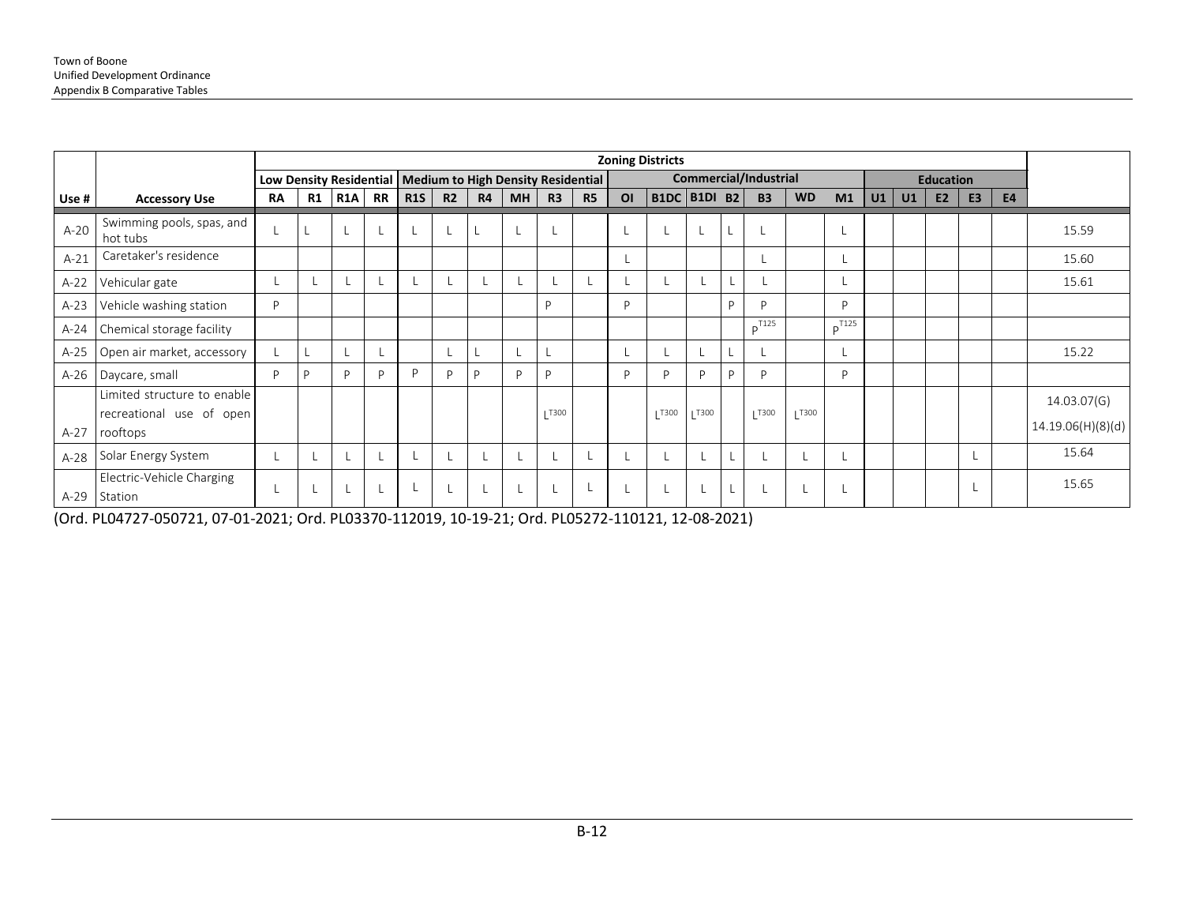|        |                                                                     |                                                              |    |                  |      |            |                |           |           |            |           |                | <b>Zoning Districts</b> |             |   |                       |           |            |    |    |                  |                |           |                                  |
|--------|---------------------------------------------------------------------|--------------------------------------------------------------|----|------------------|------|------------|----------------|-----------|-----------|------------|-----------|----------------|-------------------------|-------------|---|-----------------------|-----------|------------|----|----|------------------|----------------|-----------|----------------------------------|
|        |                                                                     | Low Density Residential   Medium to High Density Residential |    |                  |      |            |                |           |           |            |           |                |                         |             |   | Commercial/Industrial |           |            |    |    | <b>Education</b> |                |           |                                  |
| Use #  | <b>Accessory Use</b>                                                | <b>RA</b>                                                    | R1 | R <sub>1</sub> A | RR I | <b>R1S</b> | R <sub>2</sub> | <b>R4</b> | <b>MH</b> | R3         | <b>R5</b> | O <sub>1</sub> | <b>B1DC B1DI B2</b>     |             |   | <b>B3</b>             | <b>WD</b> | M1         | U1 | U1 | E <sub>2</sub>   | E <sub>3</sub> | <b>E4</b> |                                  |
| $A-20$ | Swimming pools, spas, and<br>hot tubs                               |                                                              |    |                  |      |            |                |           |           |            |           |                |                         |             |   |                       |           |            |    |    |                  |                |           | 15.59                            |
| $A-21$ | Caretaker's residence                                               |                                                              |    |                  |      |            |                |           |           |            |           |                |                         |             |   |                       |           |            |    |    |                  |                |           | 15.60                            |
| $A-22$ | Vehicular gate                                                      |                                                              |    |                  |      |            |                |           |           |            |           |                |                         |             |   |                       |           |            |    |    |                  |                |           | 15.61                            |
| $A-23$ | Vehicle washing station                                             | P                                                            |    |                  |      |            |                |           |           | D          |           | D              |                         |             | D | D                     |           | D          |    |    |                  |                |           |                                  |
| $A-24$ | Chemical storage facility                                           |                                                              |    |                  |      |            |                |           |           |            |           |                |                         |             |   | $p^{T125}$            |           | $p^{T125}$ |    |    |                  |                |           |                                  |
| $A-25$ | Open air market, accessory                                          |                                                              |    |                  |      |            |                |           |           |            |           |                |                         |             |   |                       |           |            |    |    |                  |                |           | 15.22                            |
| $A-26$ | Daycare, small                                                      | P                                                            | D  | P                |      | D          | D              |           | P         | D          |           | D              | D                       | D           | D | P                     |           | D          |    |    |                  |                |           |                                  |
| $A-27$ | Limited structure to enable<br>recreational use of open<br>rooftops |                                                              |    |                  |      |            |                |           |           | $L^{T300}$ |           |                | T300                    | <b>T300</b> |   | $L^{T300}$            | T300      |            |    |    |                  |                |           | 14.03.07(G)<br>14.19.06(H)(8)(d) |
| $A-28$ | Solar Energy System                                                 |                                                              |    |                  |      |            |                |           |           |            |           |                |                         |             |   |                       |           |            |    |    |                  |                |           | 15.64                            |
| $A-29$ | Electric-Vehicle Charging<br>Station                                |                                                              |    |                  |      |            |                |           |           |            |           |                |                         |             |   |                       |           |            |    |    |                  |                |           | 15.65                            |

(Ord. PL04727-050721, 07-01-2021; Ord. PL03370-112019, 10-19-21; Ord. PL05272-110121, 12-08-2021)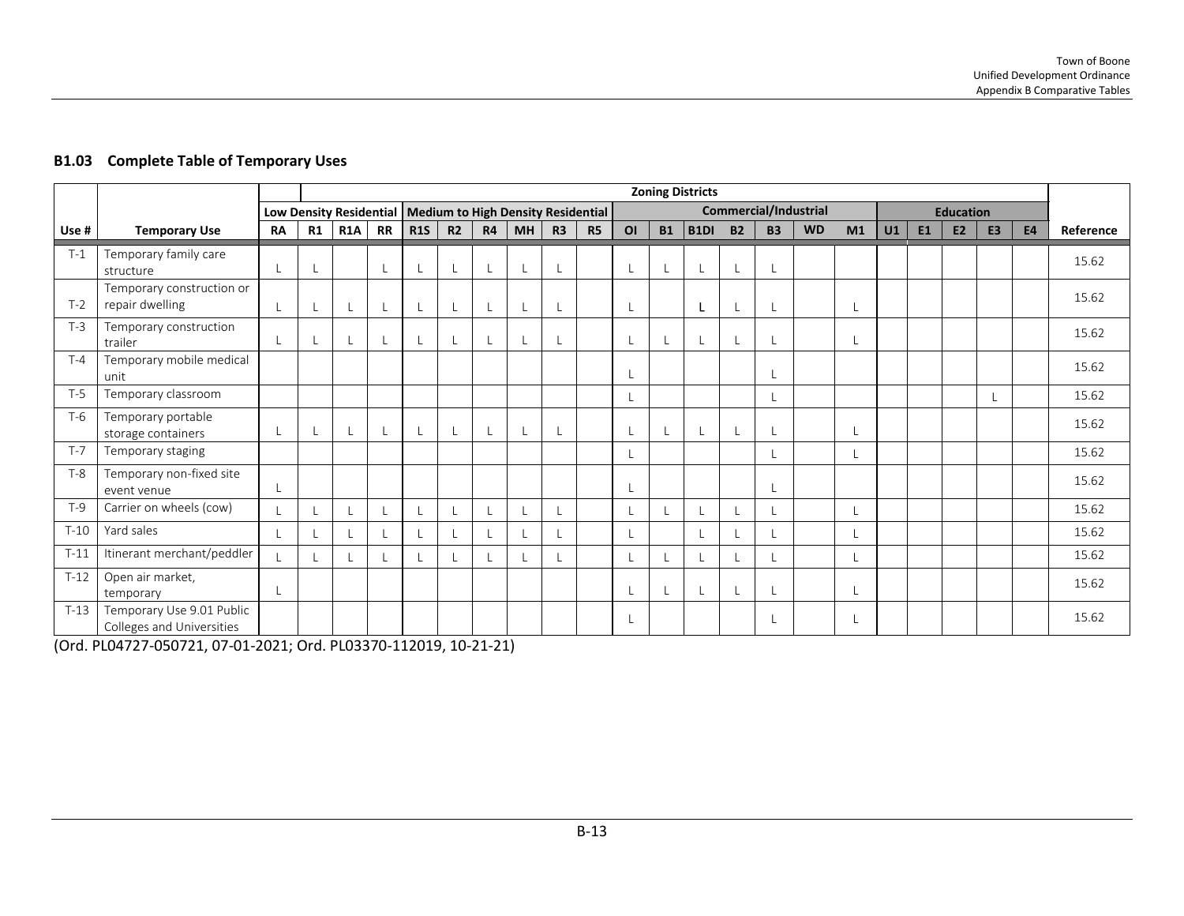|        |                                                        |           | <b>Zoning Districts</b> |            |    |            |                                                              |           |           |                |                              |                |           |             |           |           |                  |    |    |           |                |                |           |           |
|--------|--------------------------------------------------------|-----------|-------------------------|------------|----|------------|--------------------------------------------------------------|-----------|-----------|----------------|------------------------------|----------------|-----------|-------------|-----------|-----------|------------------|----|----|-----------|----------------|----------------|-----------|-----------|
|        |                                                        |           |                         |            |    |            | Low Density Residential   Medium to High Density Residential |           |           |                | <b>Commercial/Industrial</b> |                |           |             |           |           | <b>Education</b> |    |    |           |                |                |           |           |
| Use #  | <b>Temporary Use</b>                                   | <b>RA</b> | R1                      | <b>R1A</b> | RR | <b>R1S</b> | R <sub>2</sub>                                               | <b>R4</b> | <b>MH</b> | R <sub>3</sub> | <b>R5</b>                    | O <sub>l</sub> | <b>B1</b> | <b>B1DI</b> | <b>B2</b> | <b>B3</b> | <b>WD</b>        | M1 | U1 | <b>E1</b> | E <sub>2</sub> | E <sub>3</sub> | <b>E4</b> | Reference |
| $T-1$  | Temporary family care<br>structure                     | L         |                         |            |    | L          |                                                              | L         |           |                |                              |                | L         |             | L         |           |                  |    |    |           |                |                |           | 15.62     |
| $T-2$  | Temporary construction or<br>repair dwelling           |           |                         | $\perp$    |    |            |                                                              | L         |           |                |                              |                |           |             |           |           |                  |    |    |           |                |                |           | 15.62     |
| $T-3$  | Temporary construction<br>trailer                      | L         |                         | L          |    |            |                                                              | L         |           |                |                              |                | L         |             |           |           |                  |    |    |           |                |                |           | 15.62     |
| $T-4$  | Temporary mobile medical<br>unit                       |           |                         |            |    |            |                                                              |           |           |                |                              |                |           |             |           |           |                  |    |    |           |                |                |           | 15.62     |
| $T-5$  | Temporary classroom                                    |           |                         |            |    |            |                                                              |           |           |                |                              |                |           |             |           |           |                  |    |    |           |                |                |           | 15.62     |
| $T-6$  | Temporary portable<br>storage containers               |           |                         |            |    |            |                                                              | L         |           |                |                              |                |           |             |           |           |                  |    |    |           |                |                |           | 15.62     |
| $T-7$  | Temporary staging                                      |           |                         |            |    |            |                                                              |           |           |                |                              |                |           |             |           |           |                  |    |    |           |                |                |           | 15.62     |
| $T-8$  | Temporary non-fixed site<br>event venue                |           |                         |            |    |            |                                                              |           |           |                |                              |                |           |             |           |           |                  |    |    |           |                |                |           | 15.62     |
| $T-9$  | Carrier on wheels (cow)                                |           |                         | $\perp$    |    |            |                                                              |           |           |                |                              |                |           |             |           |           |                  |    |    |           |                |                |           | 15.62     |
| $T-10$ | Yard sales                                             |           |                         | L          |    |            |                                                              | L         |           |                |                              |                |           |             |           |           |                  |    |    |           |                |                |           | 15.62     |
| $T-11$ | Itinerant merchant/peddler                             |           |                         | L          |    |            |                                                              | L         |           |                |                              |                |           |             |           |           |                  |    |    |           |                |                |           | 15.62     |
| $T-12$ | Open air market,<br>temporary                          |           |                         |            |    |            |                                                              |           |           |                |                              |                |           |             |           |           |                  |    |    |           |                |                |           | 15.62     |
| $T-13$ | Temporary Use 9.01 Public<br>Colleges and Universities |           |                         |            |    |            |                                                              |           |           |                |                              |                |           |             |           |           |                  |    |    |           |                |                |           | 15.62     |

#### **B1.03 Complete Table of Temporary Uses**

(Ord. PL04727-050721, 07-01-2021; Ord. PL03370-112019, 10-21-21)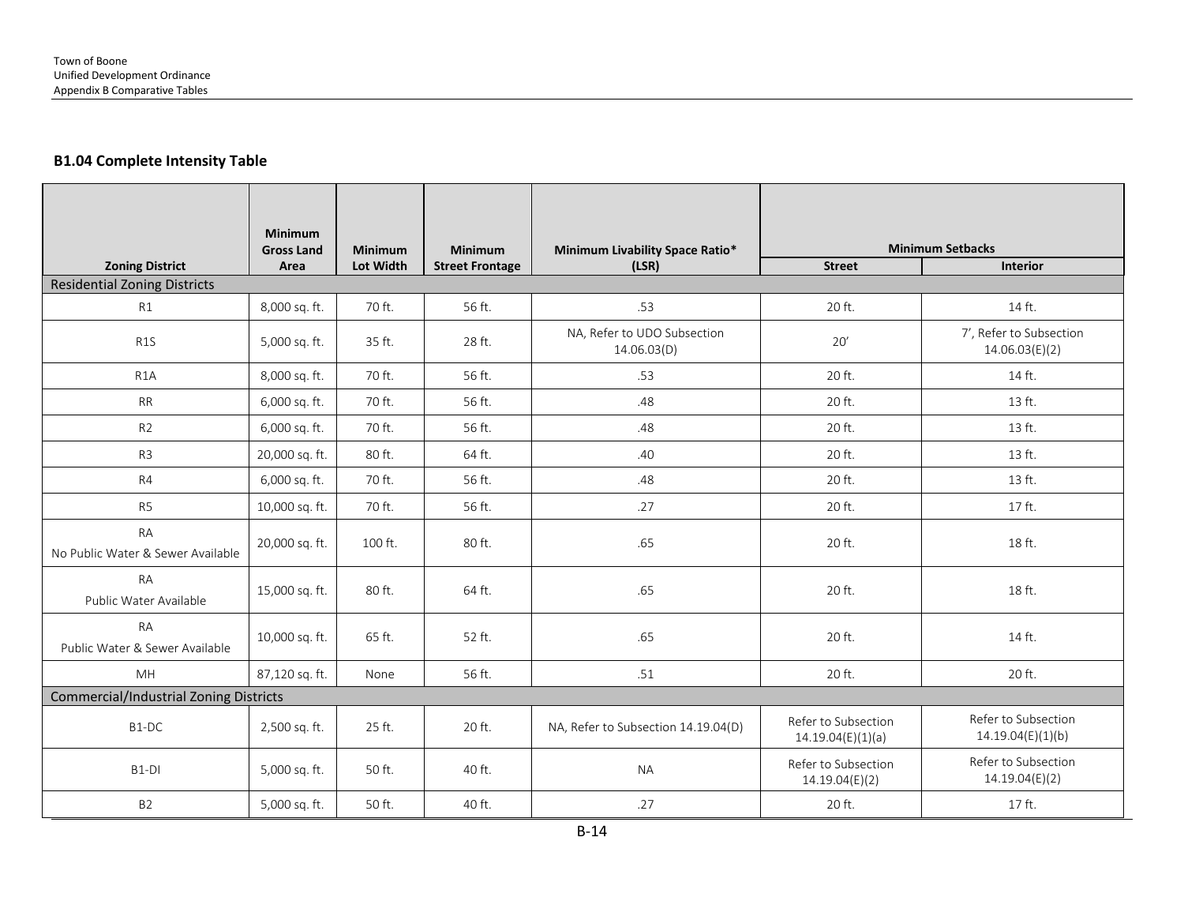#### **B1.04 Complete Intensity Table**

|                                                | <b>Minimum</b><br><b>Gross Land</b> | Minimum   | Minimum                | Minimum Livability Space Ratio*            | <b>Minimum Setbacks</b>                  |                                           |  |  |  |
|------------------------------------------------|-------------------------------------|-----------|------------------------|--------------------------------------------|------------------------------------------|-------------------------------------------|--|--|--|
| <b>Zoning District</b>                         | Area                                | Lot Width | <b>Street Frontage</b> | (LSR)                                      | <b>Street</b>                            | <b>Interior</b>                           |  |  |  |
| <b>Residential Zoning Districts</b>            |                                     |           |                        |                                            |                                          |                                           |  |  |  |
| R1                                             | 8,000 sq. ft.                       | 70 ft.    | 56 ft.                 | .53                                        | 20 ft.                                   | 14 ft.                                    |  |  |  |
| R <sub>1</sub> S                               | 5,000 sq. ft.                       | 35 ft.    | 28 ft.                 | NA, Refer to UDO Subsection<br>14.06.03(D) | 20'                                      | 7', Refer to Subsection<br>14.06.03(E)(2) |  |  |  |
| R <sub>1</sub> A                               | 8,000 sq. ft.                       | 70 ft.    | 56 ft.                 | .53                                        | 20 ft.                                   | 14 ft.                                    |  |  |  |
| <b>RR</b>                                      | 6,000 sq. ft.                       | 70 ft.    | 56 ft.                 | .48                                        | 20 ft.                                   | 13 ft.                                    |  |  |  |
| R <sub>2</sub>                                 | 6,000 sq. ft.                       | 70 ft.    | 56 ft.                 | .48                                        | 20 ft.                                   | 13 ft.                                    |  |  |  |
| R <sub>3</sub>                                 | 20,000 sq. ft.                      | 80 ft.    | 64 ft.                 | .40                                        | 20 ft.                                   | 13 ft.                                    |  |  |  |
| R4                                             | 6,000 sq. ft.                       | 70 ft.    | 56 ft.                 | .48                                        | 20 ft.                                   | 13 ft.                                    |  |  |  |
| R <sub>5</sub>                                 | 10,000 sq. ft.                      | 70 ft.    | 56 ft.                 | .27                                        | 20 ft.                                   | 17 ft.                                    |  |  |  |
| <b>RA</b><br>No Public Water & Sewer Available | 20,000 sq. ft.                      | 100 ft.   | 80 ft.                 | .65                                        | 20 ft.                                   | 18 ft.                                    |  |  |  |
| <b>RA</b><br>Public Water Available            | 15,000 sq. ft.                      | 80 ft.    | 64 ft.                 | .65                                        | 20 ft.                                   | 18 ft.                                    |  |  |  |
| <b>RA</b><br>Public Water & Sewer Available    | 10,000 sq. ft.                      | 65 ft.    | 52 ft.                 | .65                                        | 20 ft.                                   | 14 ft.                                    |  |  |  |
| <b>MH</b>                                      | 87,120 sq. ft.                      | None      | 56 ft.                 | .51                                        | 20 ft.                                   | 20 ft.                                    |  |  |  |
| <b>Commercial/Industrial Zoning Districts</b>  |                                     |           |                        |                                            |                                          |                                           |  |  |  |
| B1-DC                                          | 2,500 sq. ft.                       | 25 ft.    | 20 ft.                 | NA, Refer to Subsection 14.19.04(D)        | Refer to Subsection<br>14.19.04(E)(1)(a) | Refer to Subsection<br>14.19.04(E)(1)(b)  |  |  |  |
| B <sub>1</sub> -DI                             | 5,000 sq. ft.                       | 50 ft.    | 40 ft.                 | <b>NA</b>                                  | Refer to Subsection<br>14.19.04(E)(2)    | Refer to Subsection<br>14.19.04(E)(2)     |  |  |  |
| <b>B2</b>                                      | 5,000 sq. ft.                       | 50 ft.    | 40 ft.                 | .27                                        | 20 ft.                                   | 17 ft.                                    |  |  |  |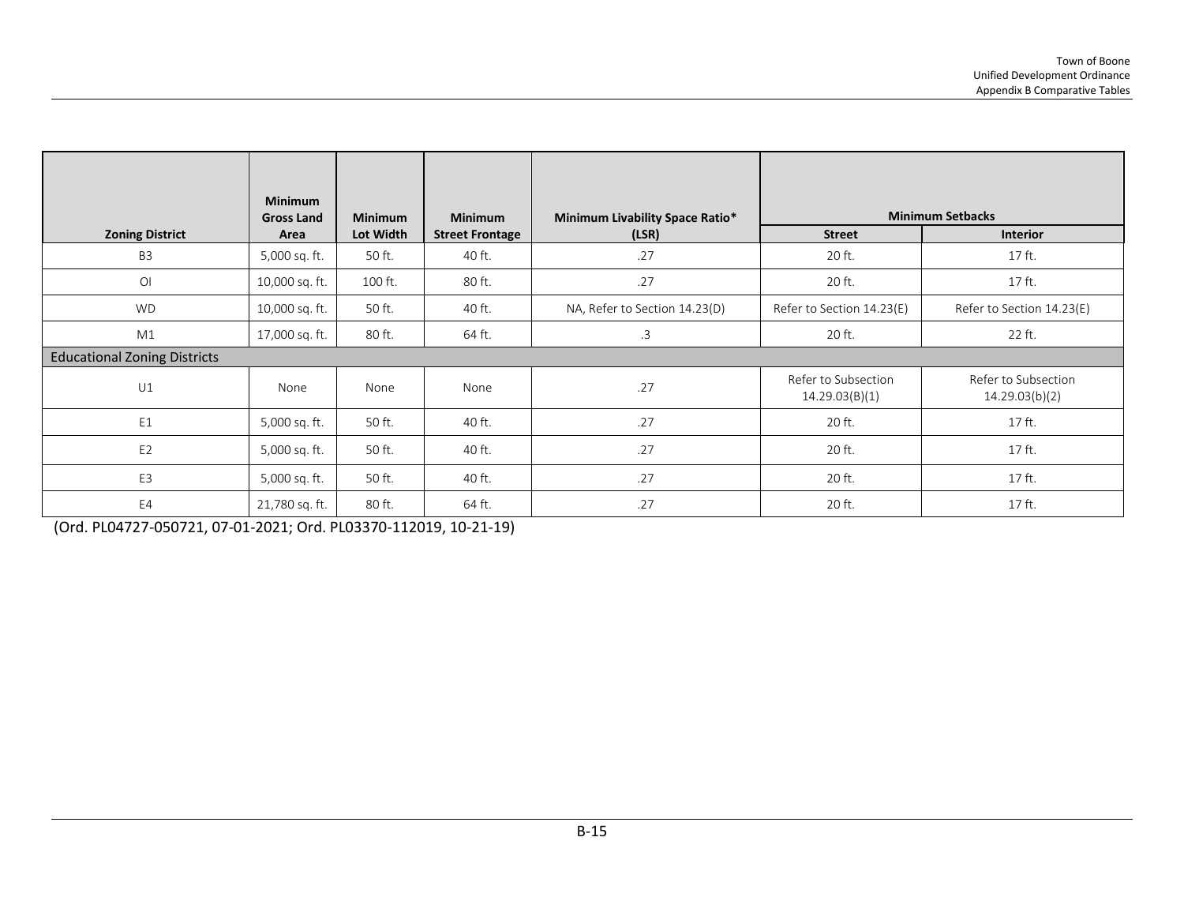|                                     | <b>Minimum</b>    |                |                        |                                 |                                       |                                       |  |  |  |
|-------------------------------------|-------------------|----------------|------------------------|---------------------------------|---------------------------------------|---------------------------------------|--|--|--|
|                                     | <b>Gross Land</b> | <b>Minimum</b> | <b>Minimum</b>         | Minimum Livability Space Ratio* | <b>Minimum Setbacks</b>               |                                       |  |  |  |
| <b>Zoning District</b><br>Area      |                   | Lot Width      | <b>Street Frontage</b> | (LSR)                           | <b>Street</b>                         | <b>Interior</b>                       |  |  |  |
| B <sub>3</sub>                      | 5,000 sq. ft.     | 50 ft.         | 40 ft.                 | .27                             | 20 ft.                                | 17 ft.                                |  |  |  |
| O <sub>l</sub>                      | 10,000 sq. ft.    | 100 ft.        | 80 ft.                 | .27                             | 20 ft.                                | 17 ft.                                |  |  |  |
| <b>WD</b>                           | 10,000 sq. ft.    | 50 ft.         | 40 ft.                 | NA, Refer to Section 14.23(D)   | Refer to Section 14.23(E)             | Refer to Section 14.23(E)             |  |  |  |
| M1                                  | 17,000 sq. ft.    | 80 ft.         | 64 ft.                 | .3                              | 20 ft.                                | 22 ft.                                |  |  |  |
| <b>Educational Zoning Districts</b> |                   |                |                        |                                 |                                       |                                       |  |  |  |
| U1                                  | None              | None           | None                   | .27                             | Refer to Subsection<br>14.29.03(B)(1) | Refer to Subsection<br>14.29.03(b)(2) |  |  |  |
| E1                                  | 5,000 sq. ft.     | 50 ft.         | 40 ft.                 | .27                             | 20 ft.                                | 17 ft.                                |  |  |  |
| E <sub>2</sub>                      | 5,000 sq. ft.     | 50 ft.         | 40 ft.                 | .27                             | 20 ft.                                | 17 ft.                                |  |  |  |
| E3                                  | 5,000 sq. ft.     | 50 ft.         | 40 ft.                 | .27                             | 20 ft.                                | 17 ft.                                |  |  |  |
| E4<br>21,780 sq. ft.                |                   | 80 ft.         | 64 ft.                 | .27                             | 20 ft.                                | 17 ft.                                |  |  |  |

(Ord. PL04727-050721, 07-01-2021; Ord. PL03370-112019, 10-21-19)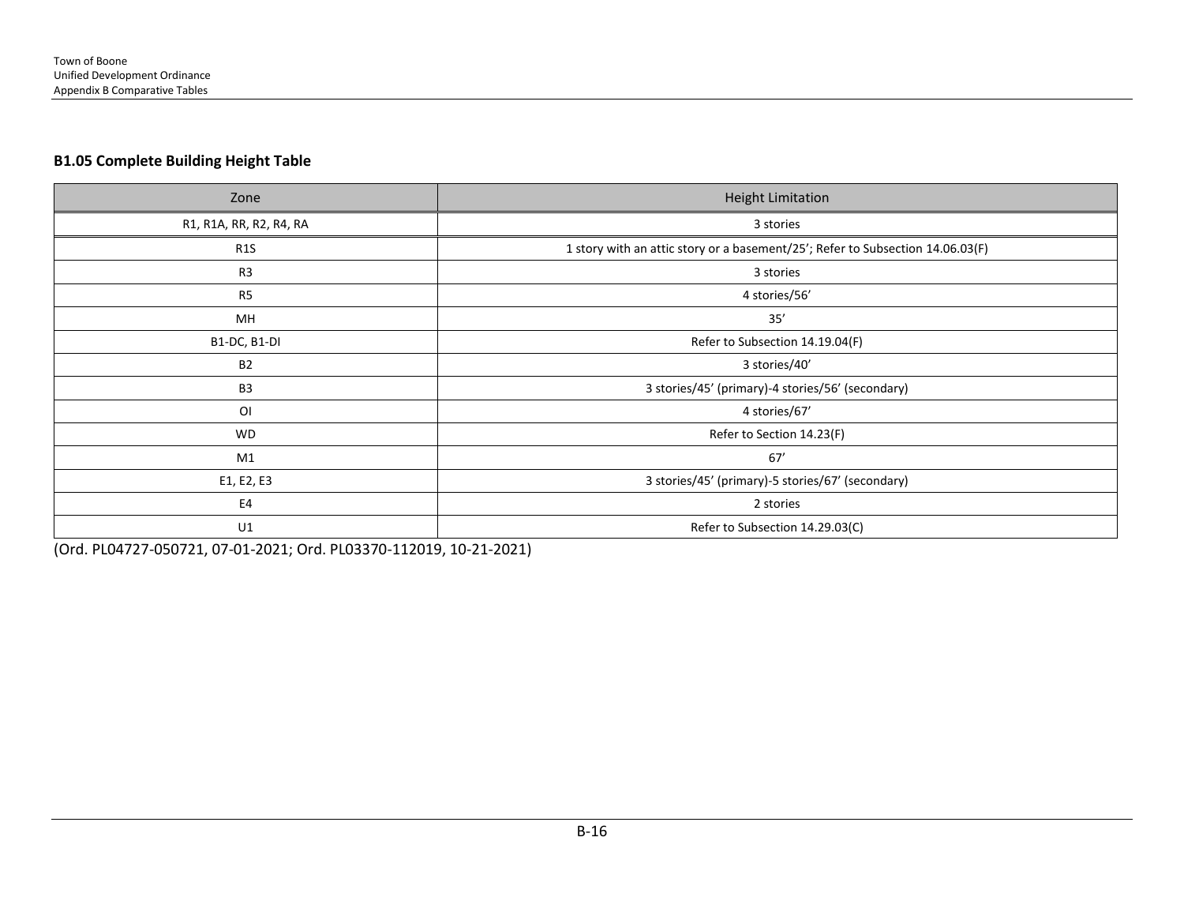#### **B1.05 Complete Building Height Table**

| Zone                    | <b>Height Limitation</b>                                                       |
|-------------------------|--------------------------------------------------------------------------------|
| R1, R1A, RR, R2, R4, RA | 3 stories                                                                      |
| R <sub>1</sub> S        | 1 story with an attic story or a basement/25'; Refer to Subsection 14.06.03(F) |
| R <sub>3</sub>          | 3 stories                                                                      |
| R5                      | 4 stories/56'                                                                  |
| MН                      | 35'                                                                            |
| B1-DC, B1-DI            | Refer to Subsection 14.19.04(F)                                                |
| <b>B2</b>               | 3 stories/40'                                                                  |
| B <sub>3</sub>          | 3 stories/45' (primary)-4 stories/56' (secondary)                              |
| OI                      | 4 stories/67'                                                                  |
| <b>WD</b>               | Refer to Section 14.23(F)                                                      |
| M1                      | 67'                                                                            |
| E1, E2, E3              | 3 stories/45' (primary)-5 stories/67' (secondary)                              |
| E4                      | 2 stories                                                                      |
| U1                      | Refer to Subsection 14.29.03(C)                                                |

(Ord. PL04727-050721, 07-01-2021; Ord. PL03370-112019, 10-21-2021)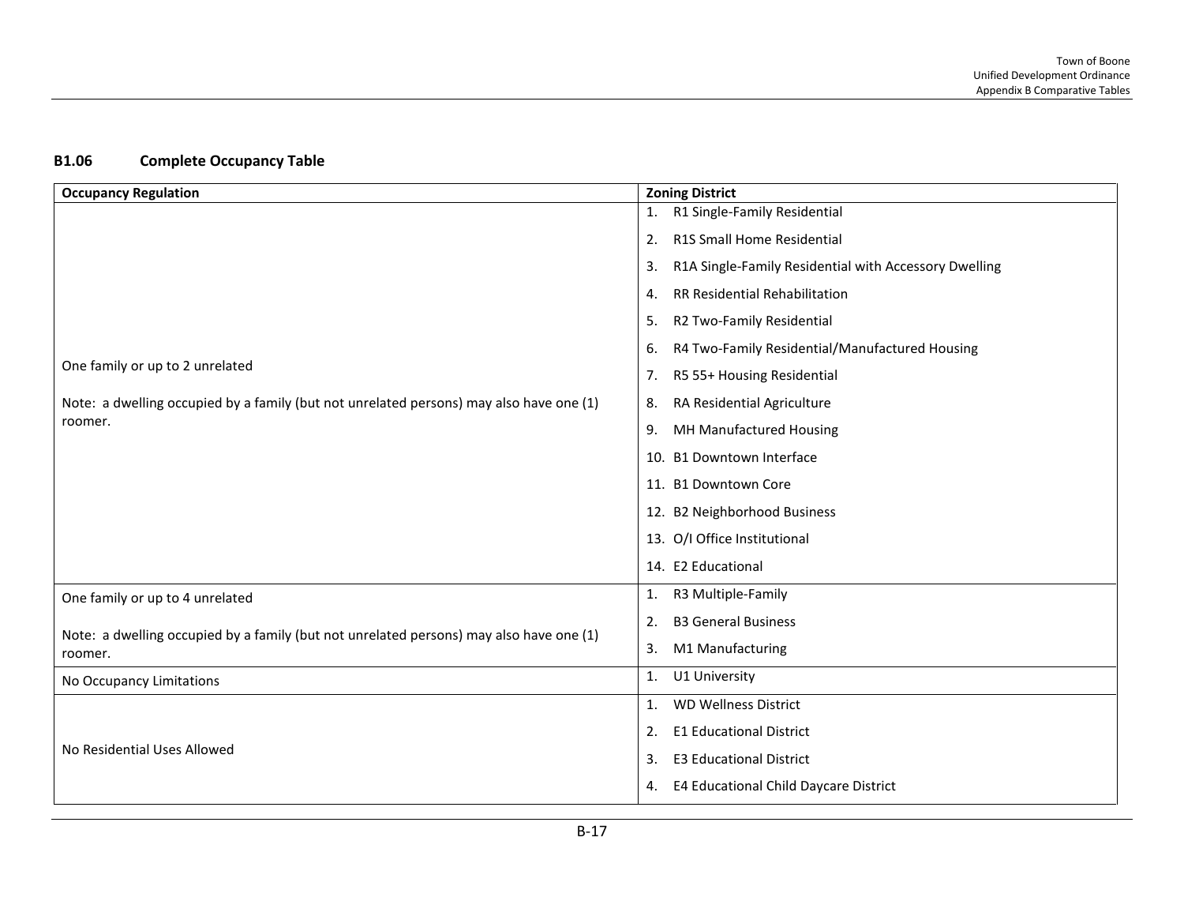### **B1.06 Complete Occupancy Table**

| <b>Occupancy Regulation</b>                                                             | <b>Zoning District</b>                                      |
|-----------------------------------------------------------------------------------------|-------------------------------------------------------------|
|                                                                                         | R1 Single-Family Residential<br>1.                          |
|                                                                                         | R1S Small Home Residential<br>2.                            |
|                                                                                         | R1A Single-Family Residential with Accessory Dwelling<br>3. |
|                                                                                         | RR Residential Rehabilitation<br>4.                         |
|                                                                                         | R2 Two-Family Residential<br>5.                             |
|                                                                                         | R4 Two-Family Residential/Manufactured Housing<br>6.        |
| One family or up to 2 unrelated                                                         | R5 55+ Housing Residential<br>7.                            |
| Note: a dwelling occupied by a family (but not unrelated persons) may also have one (1) | RA Residential Agriculture<br>8.                            |
| roomer.                                                                                 | MH Manufactured Housing<br>9.                               |
|                                                                                         | 10. B1 Downtown Interface                                   |
|                                                                                         | 11. B1 Downtown Core                                        |
|                                                                                         | 12. B2 Neighborhood Business                                |
|                                                                                         | 13. O/I Office Institutional                                |
|                                                                                         | 14. E2 Educational                                          |
| One family or up to 4 unrelated                                                         | R3 Multiple-Family<br>1.                                    |
| Note: a dwelling occupied by a family (but not unrelated persons) may also have one (1) | <b>B3 General Business</b><br>2.                            |
| roomer.                                                                                 | M1 Manufacturing<br>3.                                      |
| No Occupancy Limitations                                                                | U1 University<br>1.                                         |
|                                                                                         | <b>WD Wellness District</b><br>1.                           |
|                                                                                         | <b>E1 Educational District</b><br>2.                        |
| No Residential Uses Allowed                                                             | <b>E3 Educational District</b><br>3.                        |
|                                                                                         | E4 Educational Child Daycare District<br>4.                 |